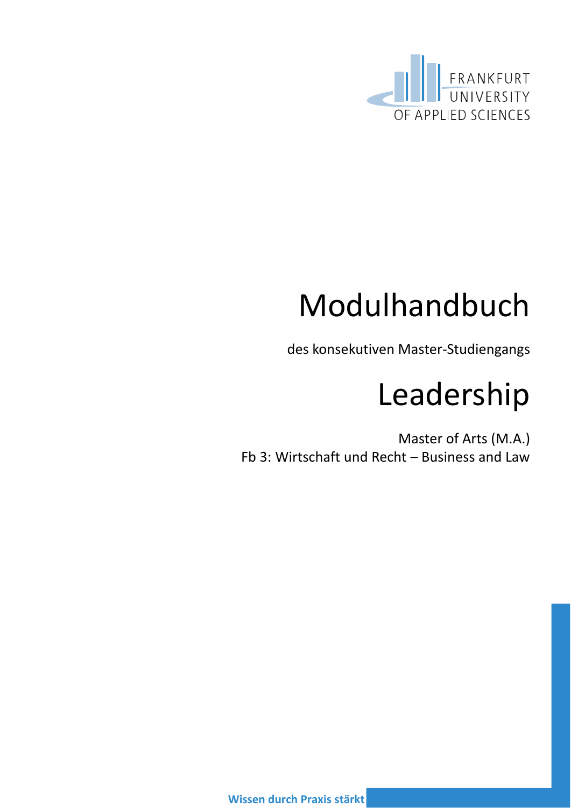

# Modulhandbuch

des konsekutiven Master-Studiengangs

# Leadership

Master of Arts (M.A.) Fb 3: Wirtschaft und Recht – Business and Law

**Wissen durch Praxis stärkt**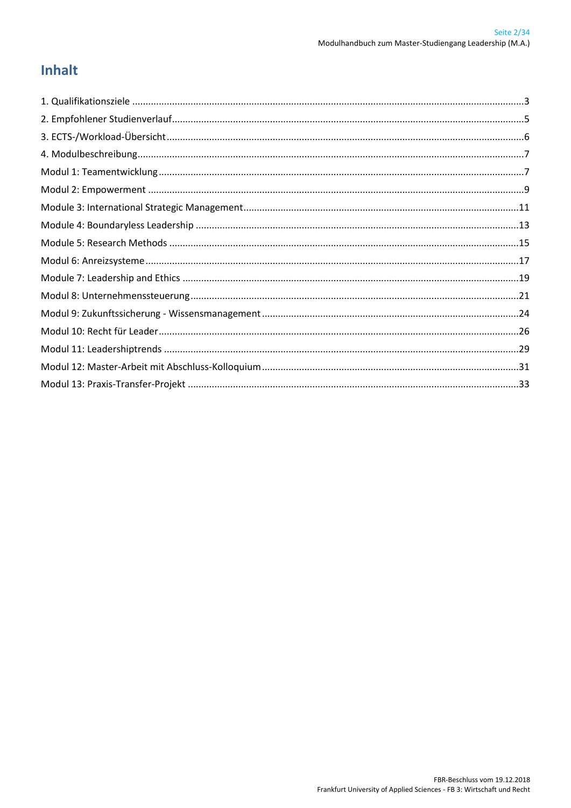## **Inhalt**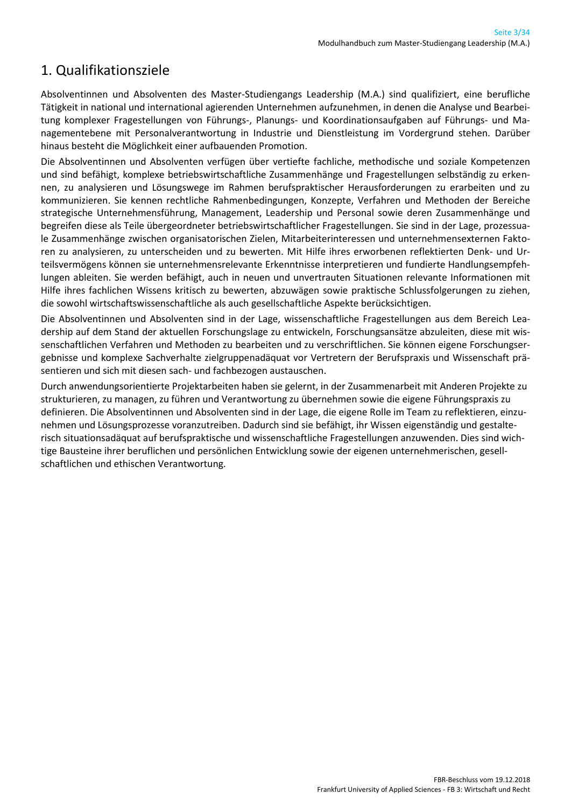## <span id="page-2-0"></span>1. Qualifikationsziele

Absolventinnen und Absolventen des Master-Studiengangs Leadership (M.A.) sind qualifiziert, eine berufliche Tätigkeit in national und international agierenden Unternehmen aufzunehmen, in denen die Analyse und Bearbeitung komplexer Fragestellungen von Führungs-, Planungs- und Koordinationsaufgaben auf Führungs- und Managementebene mit Personalverantwortung in Industrie und Dienstleistung im Vordergrund stehen. Darüber hinaus besteht die Möglichkeit einer aufbauenden Promotion.

Die Absolventinnen und Absolventen verfügen über vertiefte fachliche, methodische und soziale Kompetenzen und sind befähigt, komplexe betriebswirtschaftliche Zusammenhänge und Fragestellungen selbständig zu erkennen, zu analysieren und Lösungswege im Rahmen berufspraktischer Herausforderungen zu erarbeiten und zu kommunizieren. Sie kennen rechtliche Rahmenbedingungen, Konzepte, Verfahren und Methoden der Bereiche strategische Unternehmensführung, Management, Leadership und Personal sowie deren Zusammenhänge und begreifen diese als Teile übergeordneter betriebswirtschaftlicher Fragestellungen. Sie sind in der Lage, prozessuale Zusammenhänge zwischen organisatorischen Zielen, Mitarbeiterinteressen und unternehmensexternen Faktoren zu analysieren, zu unterscheiden und zu bewerten. Mit Hilfe ihres erworbenen reflektierten Denk- und Urteilsvermögens können sie unternehmensrelevante Erkenntnisse interpretieren und fundierte Handlungsempfehlungen ableiten. Sie werden befähigt, auch in neuen und unvertrauten Situationen relevante Informationen mit Hilfe ihres fachlichen Wissens kritisch zu bewerten, abzuwägen sowie praktische Schlussfolgerungen zu ziehen, die sowohl wirtschaftswissenschaftliche als auch gesellschaftliche Aspekte berücksichtigen.

Die Absolventinnen und Absolventen sind in der Lage, wissenschaftliche Fragestellungen aus dem Bereich Leadership auf dem Stand der aktuellen Forschungslage zu entwickeln, Forschungsansätze abzuleiten, diese mit wissenschaftlichen Verfahren und Methoden zu bearbeiten und zu verschriftlichen. Sie können eigene Forschungsergebnisse und komplexe Sachverhalte zielgruppenadäquat vor Vertretern der Berufspraxis und Wissenschaft präsentieren und sich mit diesen sach- und fachbezogen austauschen.

Durch anwendungsorientierte Projektarbeiten haben sie gelernt, in der Zusammenarbeit mit Anderen Projekte zu strukturieren, zu managen, zu führen und Verantwortung zu übernehmen sowie die eigene Führungspraxis zu definieren. Die Absolventinnen und Absolventen sind in der Lage, die eigene Rolle im Team zu reflektieren, einzunehmen und Lösungsprozesse voranzutreiben. Dadurch sind sie befähigt, ihr Wissen eigenständig und gestalterisch situationsadäquat auf berufspraktische und wissenschaftliche Fragestellungen anzuwenden. Dies sind wichtige Bausteine ihrer beruflichen und persönlichen Entwicklung sowie der eigenen unternehmerischen, gesellschaftlichen und ethischen Verantwortung.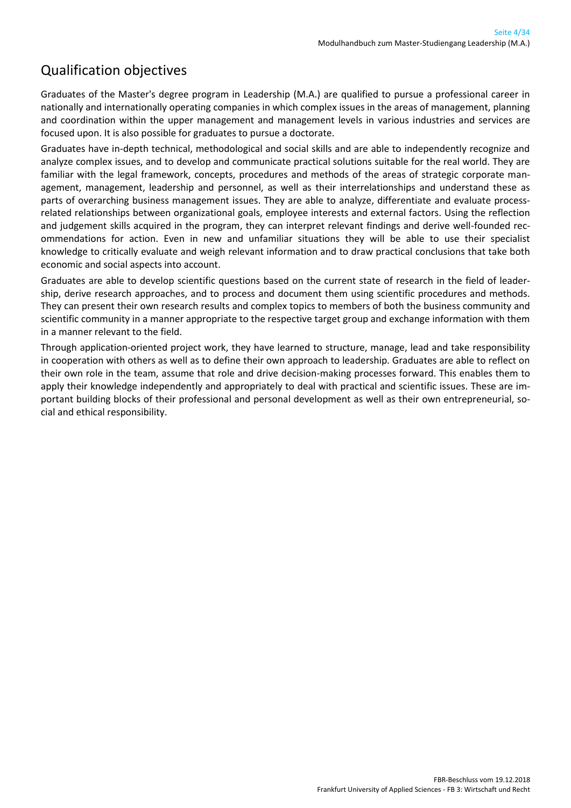### Qualification objectives

Graduates of the Master's degree program in Leadership (M.A.) are qualified to pursue a professional career in nationally and internationally operating companies in which complex issues in the areas of management, planning and coordination within the upper management and management levels in various industries and services are focused upon. It is also possible for graduates to pursue a doctorate.

Graduates have in-depth technical, methodological and social skills and are able to independently recognize and analyze complex issues, and to develop and communicate practical solutions suitable for the real world. They are familiar with the legal framework, concepts, procedures and methods of the areas of strategic corporate management, management, leadership and personnel, as well as their interrelationships and understand these as parts of overarching business management issues. They are able to analyze, differentiate and evaluate processrelated relationships between organizational goals, employee interests and external factors. Using the reflection and judgement skills acquired in the program, they can interpret relevant findings and derive well-founded recommendations for action. Even in new and unfamiliar situations they will be able to use their specialist knowledge to critically evaluate and weigh relevant information and to draw practical conclusions that take both economic and social aspects into account.

Graduates are able to develop scientific questions based on the current state of research in the field of leadership, derive research approaches, and to process and document them using scientific procedures and methods. They can present their own research results and complex topics to members of both the business community and scientific community in a manner appropriate to the respective target group and exchange information with them in a manner relevant to the field.

Through application-oriented project work, they have learned to structure, manage, lead and take responsibility in cooperation with others as well as to define their own approach to leadership. Graduates are able to reflect on their own role in the team, assume that role and drive decision-making processes forward. This enables them to apply their knowledge independently and appropriately to deal with practical and scientific issues. These are important building blocks of their professional and personal development as well as their own entrepreneurial, social and ethical responsibility.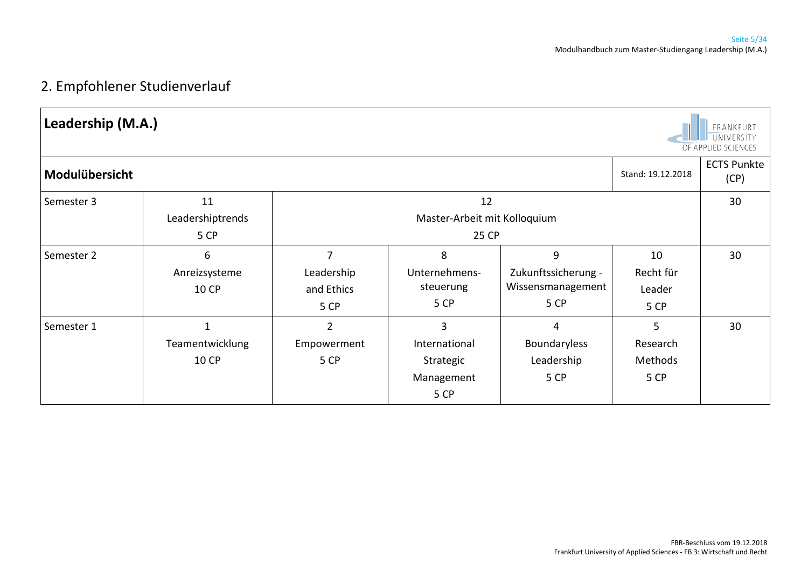## 2. Empfohlener Studienverlauf

<span id="page-4-0"></span>

| Leadership (M.A.) |                                |                                       |                                                       |                                                       |                                   | FRANKFURT<br>UNIVERSITY<br>OF APPLIED SCIENCES |
|-------------------|--------------------------------|---------------------------------------|-------------------------------------------------------|-------------------------------------------------------|-----------------------------------|------------------------------------------------|
| Modulübersicht    |                                |                                       |                                                       |                                                       | Stand: 19.12.2018                 | <b>ECTS Punkte</b><br>(CP)                     |
| Semester 3        | 11<br>Leadershiptrends<br>5 CP |                                       | 12<br>Master-Arbeit mit Kolloquium<br>25 CP           |                                                       |                                   | 30                                             |
| Semester 2        | 6<br>Anreizsysteme<br>10 CP    | 7<br>Leadership<br>and Ethics<br>5 CP | 8<br>Unternehmens-<br>steuerung<br>5 CP               | 9<br>Zukunftssicherung -<br>Wissensmanagement<br>5 CP | 10<br>Recht für<br>Leader<br>5 CP | 30                                             |
| Semester 1        | Teamentwicklung<br>10 CP       | $\overline{2}$<br>Empowerment<br>5 CP | 3<br>International<br>Strategic<br>Management<br>5 CP | 4<br>Boundaryless<br>Leadership<br>5 CP               | 5<br>Research<br>Methods<br>5 CP  | 30                                             |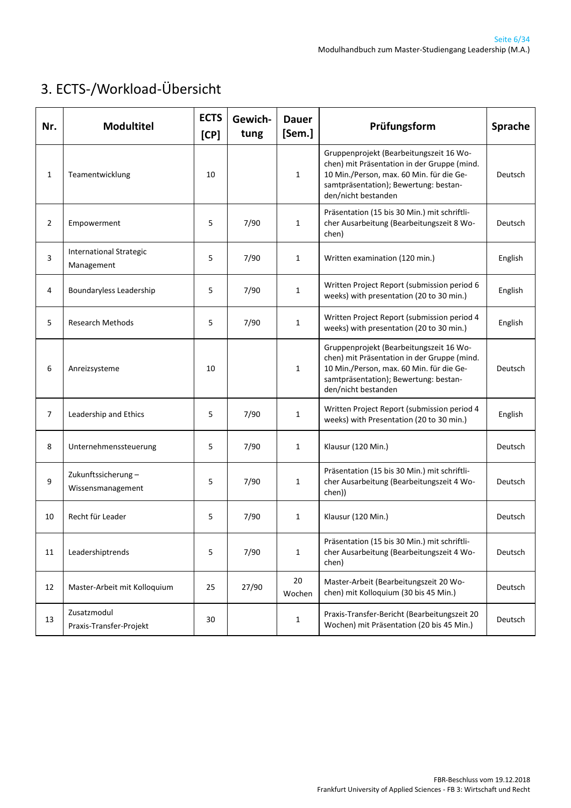# <span id="page-5-0"></span>3. ECTS-/Workload-Übersicht

| Nr. | <b>Modultitel</b>                            | <b>ECTS</b><br>[CP] | Gewich-<br>tung | <b>Dauer</b><br>[Sem.] | Prüfungsform                                                                                                                                                                                       | Sprache |
|-----|----------------------------------------------|---------------------|-----------------|------------------------|----------------------------------------------------------------------------------------------------------------------------------------------------------------------------------------------------|---------|
| 1   | Teamentwicklung                              | 10                  |                 | $\mathbf{1}$           | Gruppenprojekt (Bearbeitungszeit 16 Wo-<br>chen) mit Präsentation in der Gruppe (mind.<br>10 Min./Person, max. 60 Min. für die Ge-<br>samtpräsentation); Bewertung: bestan-<br>den/nicht bestanden | Deutsch |
| 2   | Empowerment                                  | 5                   | 7/90            | $\mathbf{1}$           | Präsentation (15 bis 30 Min.) mit schriftli-<br>cher Ausarbeitung (Bearbeitungszeit 8 Wo-<br>chen)                                                                                                 | Deutsch |
| 3   | <b>International Strategic</b><br>Management | 5                   | 7/90            | $\mathbf{1}$           | Written examination (120 min.)                                                                                                                                                                     | English |
| 4   | Boundaryless Leadership                      | 5                   | 7/90            | $\mathbf{1}$           | Written Project Report (submission period 6<br>weeks) with presentation (20 to 30 min.)                                                                                                            | English |
| 5   | <b>Research Methods</b>                      | 5                   | 7/90            | $\mathbf{1}$           | Written Project Report (submission period 4<br>weeks) with presentation (20 to 30 min.)                                                                                                            | English |
| 6   | Anreizsysteme                                | 10                  |                 | $\mathbf{1}$           | Gruppenprojekt (Bearbeitungszeit 16 Wo-<br>chen) mit Präsentation in der Gruppe (mind.<br>10 Min./Person, max. 60 Min. für die Ge-<br>samtpräsentation); Bewertung: bestan-<br>den/nicht bestanden | Deutsch |
| 7   | Leadership and Ethics                        | 5                   | 7/90            | $\mathbf{1}$           | Written Project Report (submission period 4<br>weeks) with Presentation (20 to 30 min.)                                                                                                            | English |
| 8   | Unternehmenssteuerung                        | 5                   | 7/90            | $\mathbf{1}$           | Klausur (120 Min.)                                                                                                                                                                                 | Deutsch |
| 9   | Zukunftssicherung-<br>Wissensmanagement      | 5                   | 7/90            | $\mathbf{1}$           | Präsentation (15 bis 30 Min.) mit schriftli-<br>cher Ausarbeitung (Bearbeitungszeit 4 Wo-<br>chen))                                                                                                | Deutsch |
| 10  | Recht für Leader                             | 5                   | 7/90            | $\mathbf{1}$           | Klausur (120 Min.)                                                                                                                                                                                 | Deutsch |
| 11  | Leadershiptrends                             | 5                   | 7/90            | $\mathbf{1}$           | Präsentation (15 bis 30 Min.) mit schriftli-<br>cher Ausarbeitung (Bearbeitungszeit 4 Wo-<br>chen)                                                                                                 | Deutsch |
| 12  | Master-Arbeit mit Kolloquium                 | 25                  | 27/90           | 20<br>Wochen           | Master-Arbeit (Bearbeitungszeit 20 Wo-<br>chen) mit Kolloquium (30 bis 45 Min.)                                                                                                                    | Deutsch |
| 13  | Zusatzmodul<br>Praxis-Transfer-Projekt       | 30                  |                 | $\mathbf{1}$           | Praxis-Transfer-Bericht (Bearbeitungszeit 20<br>Wochen) mit Präsentation (20 bis 45 Min.)                                                                                                          | Deutsch |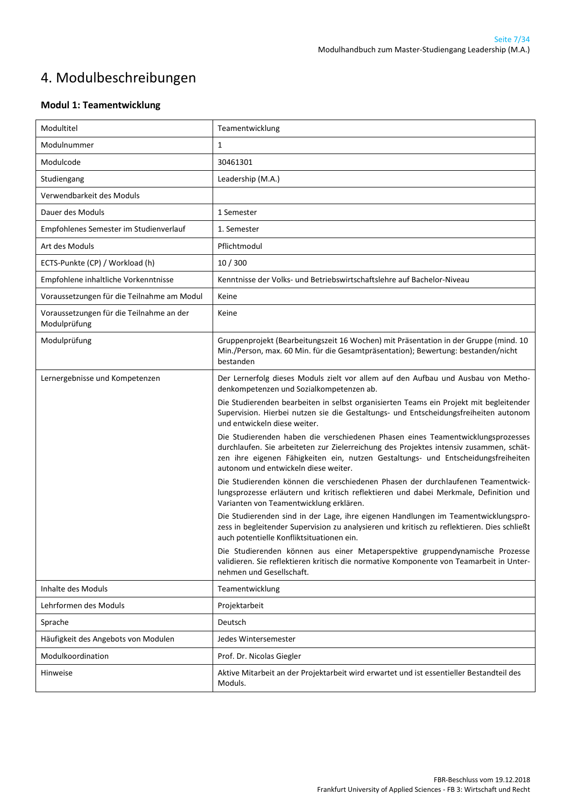# <span id="page-6-0"></span>4. Modulbeschreibungen

#### <span id="page-6-1"></span>**Modul 1: Teamentwicklung**

| Modultitel                                               | Teamentwicklung                                                                                                                                                                                                                                                                                                                                                                                                                                                                                                                                                                                                                                                                                                                                                                                                                                                                                                                                                                                                                                                                                                                                                                                                                                                                                                          |
|----------------------------------------------------------|--------------------------------------------------------------------------------------------------------------------------------------------------------------------------------------------------------------------------------------------------------------------------------------------------------------------------------------------------------------------------------------------------------------------------------------------------------------------------------------------------------------------------------------------------------------------------------------------------------------------------------------------------------------------------------------------------------------------------------------------------------------------------------------------------------------------------------------------------------------------------------------------------------------------------------------------------------------------------------------------------------------------------------------------------------------------------------------------------------------------------------------------------------------------------------------------------------------------------------------------------------------------------------------------------------------------------|
| Modulnummer                                              | 1                                                                                                                                                                                                                                                                                                                                                                                                                                                                                                                                                                                                                                                                                                                                                                                                                                                                                                                                                                                                                                                                                                                                                                                                                                                                                                                        |
| Modulcode                                                | 30461301                                                                                                                                                                                                                                                                                                                                                                                                                                                                                                                                                                                                                                                                                                                                                                                                                                                                                                                                                                                                                                                                                                                                                                                                                                                                                                                 |
| Studiengang                                              | Leadership (M.A.)                                                                                                                                                                                                                                                                                                                                                                                                                                                                                                                                                                                                                                                                                                                                                                                                                                                                                                                                                                                                                                                                                                                                                                                                                                                                                                        |
| Verwendbarkeit des Moduls                                |                                                                                                                                                                                                                                                                                                                                                                                                                                                                                                                                                                                                                                                                                                                                                                                                                                                                                                                                                                                                                                                                                                                                                                                                                                                                                                                          |
| Dauer des Moduls                                         | 1 Semester                                                                                                                                                                                                                                                                                                                                                                                                                                                                                                                                                                                                                                                                                                                                                                                                                                                                                                                                                                                                                                                                                                                                                                                                                                                                                                               |
| Empfohlenes Semester im Studienverlauf                   | 1. Semester                                                                                                                                                                                                                                                                                                                                                                                                                                                                                                                                                                                                                                                                                                                                                                                                                                                                                                                                                                                                                                                                                                                                                                                                                                                                                                              |
| Art des Moduls                                           | Pflichtmodul                                                                                                                                                                                                                                                                                                                                                                                                                                                                                                                                                                                                                                                                                                                                                                                                                                                                                                                                                                                                                                                                                                                                                                                                                                                                                                             |
| ECTS-Punkte (CP) / Workload (h)                          | 10/300                                                                                                                                                                                                                                                                                                                                                                                                                                                                                                                                                                                                                                                                                                                                                                                                                                                                                                                                                                                                                                                                                                                                                                                                                                                                                                                   |
| Empfohlene inhaltliche Vorkenntnisse                     | Kenntnisse der Volks- und Betriebswirtschaftslehre auf Bachelor-Niveau                                                                                                                                                                                                                                                                                                                                                                                                                                                                                                                                                                                                                                                                                                                                                                                                                                                                                                                                                                                                                                                                                                                                                                                                                                                   |
| Voraussetzungen für die Teilnahme am Modul               | Keine                                                                                                                                                                                                                                                                                                                                                                                                                                                                                                                                                                                                                                                                                                                                                                                                                                                                                                                                                                                                                                                                                                                                                                                                                                                                                                                    |
| Voraussetzungen für die Teilnahme an der<br>Modulprüfung | Keine                                                                                                                                                                                                                                                                                                                                                                                                                                                                                                                                                                                                                                                                                                                                                                                                                                                                                                                                                                                                                                                                                                                                                                                                                                                                                                                    |
| Modulprüfung                                             | Gruppenprojekt (Bearbeitungszeit 16 Wochen) mit Präsentation in der Gruppe (mind. 10<br>Min./Person, max. 60 Min. für die Gesamtpräsentation); Bewertung: bestanden/nicht<br>bestanden                                                                                                                                                                                                                                                                                                                                                                                                                                                                                                                                                                                                                                                                                                                                                                                                                                                                                                                                                                                                                                                                                                                                   |
| Lernergebnisse und Kompetenzen                           | Der Lernerfolg dieses Moduls zielt vor allem auf den Aufbau und Ausbau von Metho-<br>denkompetenzen und Sozialkompetenzen ab.<br>Die Studierenden bearbeiten in selbst organisierten Teams ein Projekt mit begleitender<br>Supervision. Hierbei nutzen sie die Gestaltungs- und Entscheidungsfreiheiten autonom<br>und entwickeln diese weiter.<br>Die Studierenden haben die verschiedenen Phasen eines Teamentwicklungsprozesses<br>durchlaufen. Sie arbeiteten zur Zielerreichung des Projektes intensiv zusammen, schät-<br>zen ihre eigenen Fähigkeiten ein, nutzen Gestaltungs- und Entscheidungsfreiheiten<br>autonom und entwickeln diese weiter.<br>Die Studierenden können die verschiedenen Phasen der durchlaufenen Teamentwick-<br>lungsprozesse erläutern und kritisch reflektieren und dabei Merkmale, Definition und<br>Varianten von Teamentwicklung erklären.<br>Die Studierenden sind in der Lage, ihre eigenen Handlungen im Teamentwicklungspro-<br>zess in begleitender Supervision zu analysieren und kritisch zu reflektieren. Dies schließt<br>auch potentielle Konfliktsituationen ein.<br>Die Studierenden können aus einer Metaperspektive gruppendynamische Prozesse<br>validieren. Sie reflektieren kritisch die normative Komponente von Teamarbeit in Unter-<br>nehmen und Gesellschaft. |
| Inhalte des Moduls                                       | Teamentwicklung                                                                                                                                                                                                                                                                                                                                                                                                                                                                                                                                                                                                                                                                                                                                                                                                                                                                                                                                                                                                                                                                                                                                                                                                                                                                                                          |
| Lehrformen des Moduls                                    | Projektarbeit                                                                                                                                                                                                                                                                                                                                                                                                                                                                                                                                                                                                                                                                                                                                                                                                                                                                                                                                                                                                                                                                                                                                                                                                                                                                                                            |
| Sprache                                                  | Deutsch                                                                                                                                                                                                                                                                                                                                                                                                                                                                                                                                                                                                                                                                                                                                                                                                                                                                                                                                                                                                                                                                                                                                                                                                                                                                                                                  |
| Häufigkeit des Angebots von Modulen                      | Jedes Wintersemester                                                                                                                                                                                                                                                                                                                                                                                                                                                                                                                                                                                                                                                                                                                                                                                                                                                                                                                                                                                                                                                                                                                                                                                                                                                                                                     |
| Modulkoordination                                        | Prof. Dr. Nicolas Giegler                                                                                                                                                                                                                                                                                                                                                                                                                                                                                                                                                                                                                                                                                                                                                                                                                                                                                                                                                                                                                                                                                                                                                                                                                                                                                                |
| Hinweise                                                 | Aktive Mitarbeit an der Projektarbeit wird erwartet und ist essentieller Bestandteil des<br>Moduls.                                                                                                                                                                                                                                                                                                                                                                                                                                                                                                                                                                                                                                                                                                                                                                                                                                                                                                                                                                                                                                                                                                                                                                                                                      |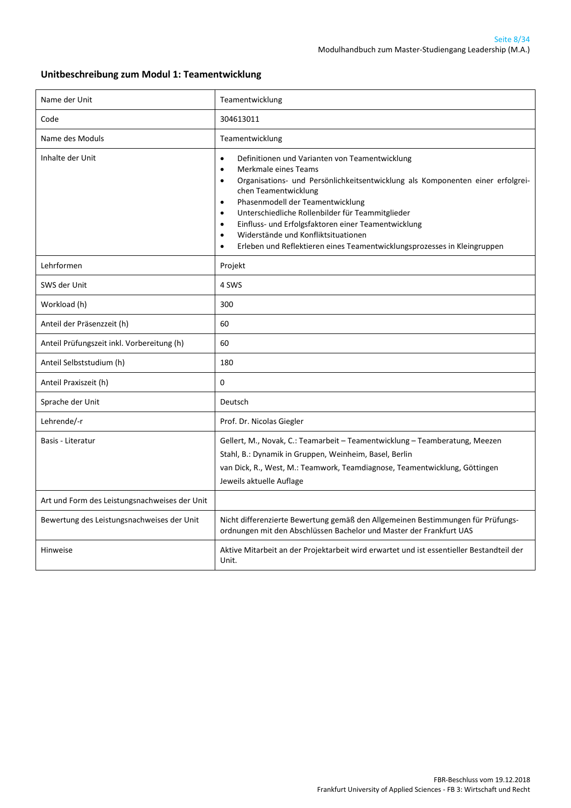#### **Unitbeschreibung zum Modul 1: Teamentwicklung**

| Name der Unit                                 | Teamentwicklung                                                                                                                                                                                                                                                                                                                                                                                                                                                                                                                                            |
|-----------------------------------------------|------------------------------------------------------------------------------------------------------------------------------------------------------------------------------------------------------------------------------------------------------------------------------------------------------------------------------------------------------------------------------------------------------------------------------------------------------------------------------------------------------------------------------------------------------------|
| Code                                          | 304613011                                                                                                                                                                                                                                                                                                                                                                                                                                                                                                                                                  |
| Name des Moduls                               | Teamentwicklung                                                                                                                                                                                                                                                                                                                                                                                                                                                                                                                                            |
| Inhalte der Unit                              | Definitionen und Varianten von Teamentwicklung<br>$\bullet$<br>Merkmale eines Teams<br>$\bullet$<br>Organisations- und Persönlichkeitsentwicklung als Komponenten einer erfolgrei-<br>$\bullet$<br>chen Teamentwicklung<br>Phasenmodell der Teamentwicklung<br>$\bullet$<br>Unterschiedliche Rollenbilder für Teammitglieder<br>$\bullet$<br>Einfluss- und Erfolgsfaktoren einer Teamentwicklung<br>$\bullet$<br>Widerstände und Konfliktsituationen<br>$\bullet$<br>Erleben und Reflektieren eines Teamentwicklungsprozesses in Kleingruppen<br>$\bullet$ |
| Lehrformen                                    | Projekt                                                                                                                                                                                                                                                                                                                                                                                                                                                                                                                                                    |
| SWS der Unit                                  | 4 SWS                                                                                                                                                                                                                                                                                                                                                                                                                                                                                                                                                      |
| Workload (h)                                  | 300                                                                                                                                                                                                                                                                                                                                                                                                                                                                                                                                                        |
| Anteil der Präsenzzeit (h)                    | 60                                                                                                                                                                                                                                                                                                                                                                                                                                                                                                                                                         |
| Anteil Prüfungszeit inkl. Vorbereitung (h)    | 60                                                                                                                                                                                                                                                                                                                                                                                                                                                                                                                                                         |
| Anteil Selbststudium (h)                      | 180                                                                                                                                                                                                                                                                                                                                                                                                                                                                                                                                                        |
| Anteil Praxiszeit (h)                         | 0                                                                                                                                                                                                                                                                                                                                                                                                                                                                                                                                                          |
| Sprache der Unit                              | Deutsch                                                                                                                                                                                                                                                                                                                                                                                                                                                                                                                                                    |
| Lehrende/-r                                   | Prof. Dr. Nicolas Giegler                                                                                                                                                                                                                                                                                                                                                                                                                                                                                                                                  |
| Basis - Literatur                             | Gellert, M., Novak, C.: Teamarbeit - Teamentwicklung - Teamberatung, Meezen<br>Stahl, B.: Dynamik in Gruppen, Weinheim, Basel, Berlin<br>van Dick, R., West, M.: Teamwork, Teamdiagnose, Teamentwicklung, Göttingen<br>Jeweils aktuelle Auflage                                                                                                                                                                                                                                                                                                            |
| Art und Form des Leistungsnachweises der Unit |                                                                                                                                                                                                                                                                                                                                                                                                                                                                                                                                                            |
| Bewertung des Leistungsnachweises der Unit    | Nicht differenzierte Bewertung gemäß den Allgemeinen Bestimmungen für Prüfungs-<br>ordnungen mit den Abschlüssen Bachelor und Master der Frankfurt UAS                                                                                                                                                                                                                                                                                                                                                                                                     |
| Hinweise                                      | Aktive Mitarbeit an der Projektarbeit wird erwartet und ist essentieller Bestandteil der<br>Unit.                                                                                                                                                                                                                                                                                                                                                                                                                                                          |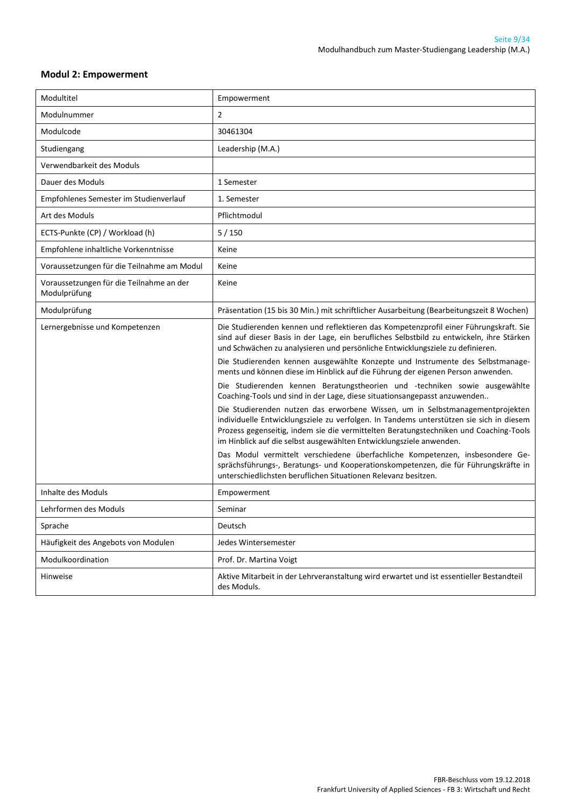#### <span id="page-8-0"></span>**Modul 2: Empowerment**

| Modultitel                                               | Empowerment                                                                                                                                                                                                                                                                                                                                           |
|----------------------------------------------------------|-------------------------------------------------------------------------------------------------------------------------------------------------------------------------------------------------------------------------------------------------------------------------------------------------------------------------------------------------------|
| Modulnummer                                              | $\overline{2}$                                                                                                                                                                                                                                                                                                                                        |
| Modulcode                                                | 30461304                                                                                                                                                                                                                                                                                                                                              |
| Studiengang                                              | Leadership (M.A.)                                                                                                                                                                                                                                                                                                                                     |
| Verwendbarkeit des Moduls                                |                                                                                                                                                                                                                                                                                                                                                       |
| Dauer des Moduls                                         | 1 Semester                                                                                                                                                                                                                                                                                                                                            |
| Empfohlenes Semester im Studienverlauf                   | 1. Semester                                                                                                                                                                                                                                                                                                                                           |
| Art des Moduls                                           | Pflichtmodul                                                                                                                                                                                                                                                                                                                                          |
| ECTS-Punkte (CP) / Workload (h)                          | 5/150                                                                                                                                                                                                                                                                                                                                                 |
| Empfohlene inhaltliche Vorkenntnisse                     | Keine                                                                                                                                                                                                                                                                                                                                                 |
| Voraussetzungen für die Teilnahme am Modul               | Keine                                                                                                                                                                                                                                                                                                                                                 |
| Voraussetzungen für die Teilnahme an der<br>Modulprüfung | Keine                                                                                                                                                                                                                                                                                                                                                 |
| Modulprüfung                                             | Präsentation (15 bis 30 Min.) mit schriftlicher Ausarbeitung (Bearbeitungszeit 8 Wochen)                                                                                                                                                                                                                                                              |
| Lernergebnisse und Kompetenzen                           | Die Studierenden kennen und reflektieren das Kompetenzprofil einer Führungskraft. Sie<br>sind auf dieser Basis in der Lage, ein berufliches Selbstbild zu entwickeln, ihre Stärken<br>und Schwächen zu analysieren und persönliche Entwicklungsziele zu definieren.<br>Die Studierenden kennen ausgewählte Konzepte und Instrumente des Selbstmanage- |
|                                                          | ments und können diese im Hinblick auf die Führung der eigenen Person anwenden.<br>Die Studierenden kennen Beratungstheorien und -techniken sowie ausgewählte<br>Coaching-Tools und sind in der Lage, diese situationsangepasst anzuwenden                                                                                                            |
|                                                          | Die Studierenden nutzen das erworbene Wissen, um in Selbstmanagementprojekten<br>individuelle Entwicklungsziele zu verfolgen. In Tandems unterstützen sie sich in diesem<br>Prozess gegenseitig, indem sie die vermittelten Beratungstechniken und Coaching-Tools<br>im Hinblick auf die selbst ausgewählten Entwicklungsziele anwenden.              |
|                                                          | Das Modul vermittelt verschiedene überfachliche Kompetenzen, insbesondere Ge-<br>sprächsführungs-, Beratungs- und Kooperationskompetenzen, die für Führungskräfte in<br>unterschiedlichsten beruflichen Situationen Relevanz besitzen.                                                                                                                |
| Inhalte des Moduls                                       | Empowerment                                                                                                                                                                                                                                                                                                                                           |
| Lehrformen des Moduls                                    | Seminar                                                                                                                                                                                                                                                                                                                                               |
| Sprache                                                  | Deutsch                                                                                                                                                                                                                                                                                                                                               |
| Häufigkeit des Angebots von Modulen                      | Jedes Wintersemester                                                                                                                                                                                                                                                                                                                                  |
| Modulkoordination                                        | Prof. Dr. Martina Voigt                                                                                                                                                                                                                                                                                                                               |
| Hinweise                                                 | Aktive Mitarbeit in der Lehrveranstaltung wird erwartet und ist essentieller Bestandteil<br>des Moduls.                                                                                                                                                                                                                                               |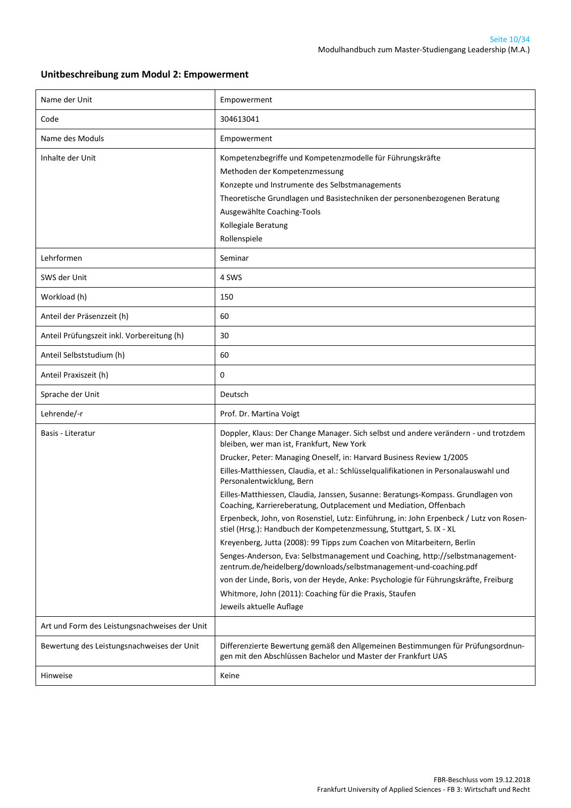#### **Unitbeschreibung zum Modul 2: Empowerment**

| Name der Unit                                 | Empowerment                                                                                                                                                                                                                                                                                                                                                                                                                                                                                                                                                                                                                                                                                                                                                                                                                                                                                                                                                                                                                                                             |
|-----------------------------------------------|-------------------------------------------------------------------------------------------------------------------------------------------------------------------------------------------------------------------------------------------------------------------------------------------------------------------------------------------------------------------------------------------------------------------------------------------------------------------------------------------------------------------------------------------------------------------------------------------------------------------------------------------------------------------------------------------------------------------------------------------------------------------------------------------------------------------------------------------------------------------------------------------------------------------------------------------------------------------------------------------------------------------------------------------------------------------------|
| Code                                          | 304613041                                                                                                                                                                                                                                                                                                                                                                                                                                                                                                                                                                                                                                                                                                                                                                                                                                                                                                                                                                                                                                                               |
| Name des Moduls                               | Empowerment                                                                                                                                                                                                                                                                                                                                                                                                                                                                                                                                                                                                                                                                                                                                                                                                                                                                                                                                                                                                                                                             |
| Inhalte der Unit                              | Kompetenzbegriffe und Kompetenzmodelle für Führungskräfte<br>Methoden der Kompetenzmessung<br>Konzepte und Instrumente des Selbstmanagements<br>Theoretische Grundlagen und Basistechniken der personenbezogenen Beratung<br>Ausgewählte Coaching-Tools<br>Kollegiale Beratung<br>Rollenspiele                                                                                                                                                                                                                                                                                                                                                                                                                                                                                                                                                                                                                                                                                                                                                                          |
| Lehrformen                                    | Seminar                                                                                                                                                                                                                                                                                                                                                                                                                                                                                                                                                                                                                                                                                                                                                                                                                                                                                                                                                                                                                                                                 |
| SWS der Unit                                  | 4 SWS                                                                                                                                                                                                                                                                                                                                                                                                                                                                                                                                                                                                                                                                                                                                                                                                                                                                                                                                                                                                                                                                   |
| Workload (h)                                  | 150                                                                                                                                                                                                                                                                                                                                                                                                                                                                                                                                                                                                                                                                                                                                                                                                                                                                                                                                                                                                                                                                     |
| Anteil der Präsenzzeit (h)                    | 60                                                                                                                                                                                                                                                                                                                                                                                                                                                                                                                                                                                                                                                                                                                                                                                                                                                                                                                                                                                                                                                                      |
| Anteil Prüfungszeit inkl. Vorbereitung (h)    | 30                                                                                                                                                                                                                                                                                                                                                                                                                                                                                                                                                                                                                                                                                                                                                                                                                                                                                                                                                                                                                                                                      |
| Anteil Selbststudium (h)                      | 60                                                                                                                                                                                                                                                                                                                                                                                                                                                                                                                                                                                                                                                                                                                                                                                                                                                                                                                                                                                                                                                                      |
| Anteil Praxiszeit (h)                         | 0                                                                                                                                                                                                                                                                                                                                                                                                                                                                                                                                                                                                                                                                                                                                                                                                                                                                                                                                                                                                                                                                       |
| Sprache der Unit                              | Deutsch                                                                                                                                                                                                                                                                                                                                                                                                                                                                                                                                                                                                                                                                                                                                                                                                                                                                                                                                                                                                                                                                 |
| Lehrende/-r                                   | Prof. Dr. Martina Voigt                                                                                                                                                                                                                                                                                                                                                                                                                                                                                                                                                                                                                                                                                                                                                                                                                                                                                                                                                                                                                                                 |
| Basis - Literatur                             | Doppler, Klaus: Der Change Manager. Sich selbst und andere verändern - und trotzdem<br>bleiben, wer man ist, Frankfurt, New York<br>Drucker, Peter: Managing Oneself, in: Harvard Business Review 1/2005<br>Eilles-Matthiessen, Claudia, et al.: Schlüsselqualifikationen in Personalauswahl und<br>Personalentwicklung, Bern<br>Eilles-Matthiessen, Claudia, Janssen, Susanne: Beratungs-Kompass. Grundlagen von<br>Coaching, Karriereberatung, Outplacement und Mediation, Offenbach<br>Erpenbeck, John, von Rosenstiel, Lutz: Einführung, in: John Erpenbeck / Lutz von Rosen-<br>stiel (Hrsg.): Handbuch der Kompetenzmessung, Stuttgart, S. IX - XL<br>Kreyenberg, Jutta (2008): 99 Tipps zum Coachen von Mitarbeitern, Berlin<br>Senges-Anderson, Eva: Selbstmanagement und Coaching, http://selbstmanagement-<br>zentrum.de/heidelberg/downloads/selbstmanagement-und-coaching.pdf<br>von der Linde, Boris, von der Heyde, Anke: Psychologie für Führungskräfte, Freiburg<br>Whitmore, John (2011): Coaching für die Praxis, Staufen<br>Jeweils aktuelle Auflage |
| Art und Form des Leistungsnachweises der Unit |                                                                                                                                                                                                                                                                                                                                                                                                                                                                                                                                                                                                                                                                                                                                                                                                                                                                                                                                                                                                                                                                         |
|                                               |                                                                                                                                                                                                                                                                                                                                                                                                                                                                                                                                                                                                                                                                                                                                                                                                                                                                                                                                                                                                                                                                         |
| Bewertung des Leistungsnachweises der Unit    | Differenzierte Bewertung gemäß den Allgemeinen Bestimmungen für Prüfungsordnun-<br>gen mit den Abschlüssen Bachelor und Master der Frankfurt UAS                                                                                                                                                                                                                                                                                                                                                                                                                                                                                                                                                                                                                                                                                                                                                                                                                                                                                                                        |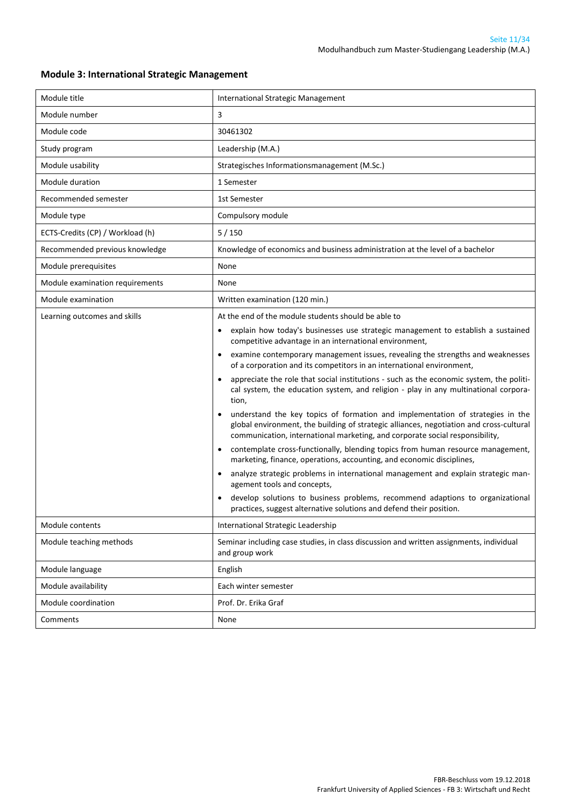| Module title                     | International Strategic Management                                                                                                                                                                                                                        |  |
|----------------------------------|-----------------------------------------------------------------------------------------------------------------------------------------------------------------------------------------------------------------------------------------------------------|--|
| Module number                    | 3                                                                                                                                                                                                                                                         |  |
| Module code                      | 30461302                                                                                                                                                                                                                                                  |  |
| Study program                    | Leadership (M.A.)                                                                                                                                                                                                                                         |  |
| Module usability                 | Strategisches Informationsmanagement (M.Sc.)                                                                                                                                                                                                              |  |
| Module duration                  | 1 Semester                                                                                                                                                                                                                                                |  |
| Recommended semester             | 1st Semester                                                                                                                                                                                                                                              |  |
| Module type                      | Compulsory module                                                                                                                                                                                                                                         |  |
| ECTS-Credits (CP) / Workload (h) | 5/150                                                                                                                                                                                                                                                     |  |
| Recommended previous knowledge   | Knowledge of economics and business administration at the level of a bachelor                                                                                                                                                                             |  |
| Module prerequisites             | None                                                                                                                                                                                                                                                      |  |
| Module examination requirements  | None                                                                                                                                                                                                                                                      |  |
| Module examination               | Written examination (120 min.)                                                                                                                                                                                                                            |  |
| Learning outcomes and skills     | At the end of the module students should be able to                                                                                                                                                                                                       |  |
|                                  | explain how today's businesses use strategic management to establish a sustained<br>competitive advantage in an international environment,                                                                                                                |  |
|                                  | examine contemporary management issues, revealing the strengths and weaknesses<br>٠<br>of a corporation and its competitors in an international environment,                                                                                              |  |
|                                  | appreciate the role that social institutions - such as the economic system, the politi-<br>cal system, the education system, and religion - play in any multinational corpora-<br>tion,                                                                   |  |
|                                  | understand the key topics of formation and implementation of strategies in the<br>global environment, the building of strategic alliances, negotiation and cross-cultural<br>communication, international marketing, and corporate social responsibility, |  |
|                                  | contemplate cross-functionally, blending topics from human resource management,<br>٠<br>marketing, finance, operations, accounting, and economic disciplines,                                                                                             |  |
|                                  | analyze strategic problems in international management and explain strategic man-<br>agement tools and concepts,                                                                                                                                          |  |
|                                  | develop solutions to business problems, recommend adaptions to organizational<br>practices, suggest alternative solutions and defend their position.                                                                                                      |  |
| Module contents                  | International Strategic Leadership                                                                                                                                                                                                                        |  |
| Module teaching methods          | Seminar including case studies, in class discussion and written assignments, individual<br>and group work                                                                                                                                                 |  |
| Module language                  | English                                                                                                                                                                                                                                                   |  |
| Module availability              | Each winter semester                                                                                                                                                                                                                                      |  |
| Module coordination              | Prof. Dr. Erika Graf                                                                                                                                                                                                                                      |  |
| Comments                         | None                                                                                                                                                                                                                                                      |  |

#### <span id="page-10-0"></span>**Module 3: International Strategic Management**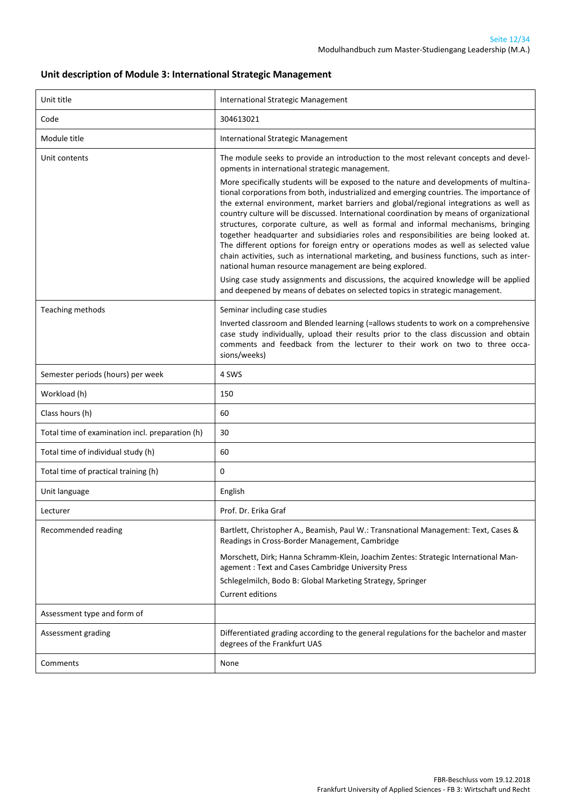#### **Unit description of Module 3: International Strategic Management**

| Unit title                                      | International Strategic Management                                                                                                                                                                                                                                                                                                                                                                                                                                                                                                                                                                                                                                                                                                                                                                                                                                                                                                                                                                                                                                                                                     |
|-------------------------------------------------|------------------------------------------------------------------------------------------------------------------------------------------------------------------------------------------------------------------------------------------------------------------------------------------------------------------------------------------------------------------------------------------------------------------------------------------------------------------------------------------------------------------------------------------------------------------------------------------------------------------------------------------------------------------------------------------------------------------------------------------------------------------------------------------------------------------------------------------------------------------------------------------------------------------------------------------------------------------------------------------------------------------------------------------------------------------------------------------------------------------------|
| Code                                            | 304613021                                                                                                                                                                                                                                                                                                                                                                                                                                                                                                                                                                                                                                                                                                                                                                                                                                                                                                                                                                                                                                                                                                              |
| Module title                                    | International Strategic Management                                                                                                                                                                                                                                                                                                                                                                                                                                                                                                                                                                                                                                                                                                                                                                                                                                                                                                                                                                                                                                                                                     |
| Unit contents                                   | The module seeks to provide an introduction to the most relevant concepts and devel-<br>opments in international strategic management.<br>More specifically students will be exposed to the nature and developments of multina-<br>tional corporations from both, industrialized and emerging countries. The importance of<br>the external environment, market barriers and global/regional integrations as well as<br>country culture will be discussed. International coordination by means of organizational<br>structures, corporate culture, as well as formal and informal mechanisms, bringing<br>together headquarter and subsidiaries roles and responsibilities are being looked at.<br>The different options for foreign entry or operations modes as well as selected value<br>chain activities, such as international marketing, and business functions, such as inter-<br>national human resource management are being explored.<br>Using case study assignments and discussions, the acquired knowledge will be applied<br>and deepened by means of debates on selected topics in strategic management. |
| Teaching methods                                | Seminar including case studies<br>Inverted classroom and Blended learning (=allows students to work on a comprehensive<br>case study individually, upload their results prior to the class discussion and obtain<br>comments and feedback from the lecturer to their work on two to three occa-<br>sions/weeks)                                                                                                                                                                                                                                                                                                                                                                                                                                                                                                                                                                                                                                                                                                                                                                                                        |
| Semester periods (hours) per week               | 4 SWS                                                                                                                                                                                                                                                                                                                                                                                                                                                                                                                                                                                                                                                                                                                                                                                                                                                                                                                                                                                                                                                                                                                  |
| Workload (h)                                    | 150                                                                                                                                                                                                                                                                                                                                                                                                                                                                                                                                                                                                                                                                                                                                                                                                                                                                                                                                                                                                                                                                                                                    |
| Class hours (h)                                 | 60                                                                                                                                                                                                                                                                                                                                                                                                                                                                                                                                                                                                                                                                                                                                                                                                                                                                                                                                                                                                                                                                                                                     |
| Total time of examination incl. preparation (h) | 30                                                                                                                                                                                                                                                                                                                                                                                                                                                                                                                                                                                                                                                                                                                                                                                                                                                                                                                                                                                                                                                                                                                     |
| Total time of individual study (h)              | 60                                                                                                                                                                                                                                                                                                                                                                                                                                                                                                                                                                                                                                                                                                                                                                                                                                                                                                                                                                                                                                                                                                                     |
| Total time of practical training (h)            | 0                                                                                                                                                                                                                                                                                                                                                                                                                                                                                                                                                                                                                                                                                                                                                                                                                                                                                                                                                                                                                                                                                                                      |
| Unit language                                   | English                                                                                                                                                                                                                                                                                                                                                                                                                                                                                                                                                                                                                                                                                                                                                                                                                                                                                                                                                                                                                                                                                                                |
| Lecturer                                        | Prof. Dr. Erika Graf                                                                                                                                                                                                                                                                                                                                                                                                                                                                                                                                                                                                                                                                                                                                                                                                                                                                                                                                                                                                                                                                                                   |
| Recommended reading                             | Bartlett, Christopher A., Beamish, Paul W.: Transnational Management: Text, Cases &<br>Readings in Cross-Border Management, Cambridge<br>Morschett, Dirk; Hanna Schramm-Klein, Joachim Zentes: Strategic International Man-<br>agement: Text and Cases Cambridge University Press<br>Schlegelmilch, Bodo B: Global Marketing Strategy, Springer<br>Current editions                                                                                                                                                                                                                                                                                                                                                                                                                                                                                                                                                                                                                                                                                                                                                    |
| Assessment type and form of                     |                                                                                                                                                                                                                                                                                                                                                                                                                                                                                                                                                                                                                                                                                                                                                                                                                                                                                                                                                                                                                                                                                                                        |
| Assessment grading                              | Differentiated grading according to the general regulations for the bachelor and master<br>degrees of the Frankfurt UAS                                                                                                                                                                                                                                                                                                                                                                                                                                                                                                                                                                                                                                                                                                                                                                                                                                                                                                                                                                                                |
| Comments                                        | None                                                                                                                                                                                                                                                                                                                                                                                                                                                                                                                                                                                                                                                                                                                                                                                                                                                                                                                                                                                                                                                                                                                   |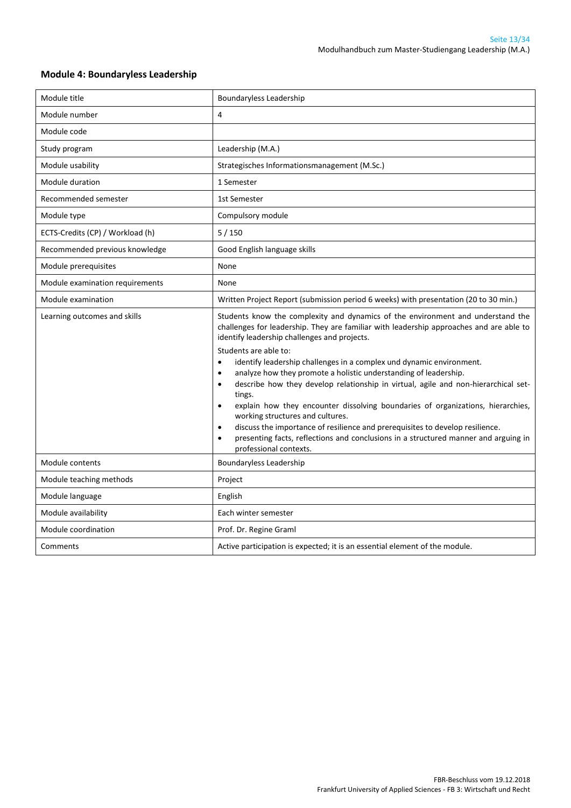#### Module title **Boundaryless Leadership** Module number 14 Module code Study program and a study program and the contract of the Leadership (M.A.) Module usability  $\qquad \qquad$  Strategisches Informationsmanagement (M.Sc.) Module duration 1 Semester Recommended semester 1st Semester Module type **Compulsory module** ECTS-Credits (CP) / Workload (h) 5 / 150 Recommended previous knowledge Good English language skills Module prerequisites and a set of the None Module examination requirements None Module examination **Written Project Report (submission period 6 weeks)** with presentation (20 to 30 min.) Learning outcomes and skills Students know the complexity and dynamics of the environment and understand the challenges for leadership. They are familiar with leadership approaches and are able to identify leadership challenges and projects. Students are able to: identify leadership challenges in a complex und dynamic environment. analyze how they promote a holistic understanding of leadership. describe how they develop relationship in virtual, agile and non-hierarchical settings. explain how they encounter dissolving boundaries of organizations, hierarchies, working structures and cultures. discuss the importance of resilience and prerequisites to develop resilience. presenting facts, reflections and conclusions in a structured manner and arguing in professional contexts. Module contents and Boundaryless Leadership Module teaching methods **Project** Module language example and the English Module availability **Each winter semester** Module coordination **Prof. Dr. Regine Graml** Comments and Active participation is expected; it is an essential element of the module.

#### <span id="page-12-0"></span>**Module 4: Boundaryless Leadership**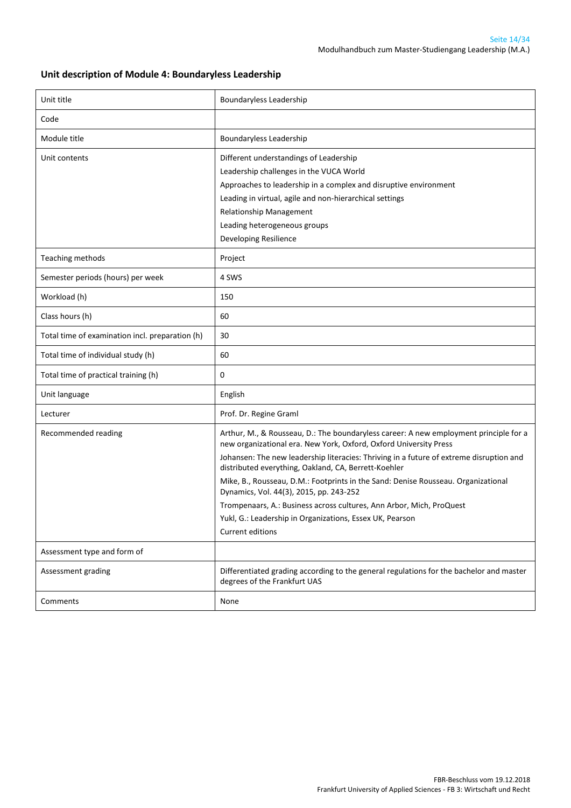#### **Unit description of Module 4: Boundaryless Leadership**

| Unit title                                      | Boundaryless Leadership                                                                                                                                                                                                                                                                                                                                                                                                                                                                                                                                                                                      |
|-------------------------------------------------|--------------------------------------------------------------------------------------------------------------------------------------------------------------------------------------------------------------------------------------------------------------------------------------------------------------------------------------------------------------------------------------------------------------------------------------------------------------------------------------------------------------------------------------------------------------------------------------------------------------|
| Code                                            |                                                                                                                                                                                                                                                                                                                                                                                                                                                                                                                                                                                                              |
| Module title                                    | Boundaryless Leadership                                                                                                                                                                                                                                                                                                                                                                                                                                                                                                                                                                                      |
| Unit contents                                   | Different understandings of Leadership<br>Leadership challenges in the VUCA World<br>Approaches to leadership in a complex and disruptive environment<br>Leading in virtual, agile and non-hierarchical settings<br>Relationship Management<br>Leading heterogeneous groups<br>Developing Resilience                                                                                                                                                                                                                                                                                                         |
| Teaching methods                                | Project                                                                                                                                                                                                                                                                                                                                                                                                                                                                                                                                                                                                      |
| Semester periods (hours) per week               | 4 SWS                                                                                                                                                                                                                                                                                                                                                                                                                                                                                                                                                                                                        |
| Workload (h)                                    | 150                                                                                                                                                                                                                                                                                                                                                                                                                                                                                                                                                                                                          |
| Class hours (h)                                 | 60                                                                                                                                                                                                                                                                                                                                                                                                                                                                                                                                                                                                           |
| Total time of examination incl. preparation (h) | 30                                                                                                                                                                                                                                                                                                                                                                                                                                                                                                                                                                                                           |
| Total time of individual study (h)              | 60                                                                                                                                                                                                                                                                                                                                                                                                                                                                                                                                                                                                           |
| Total time of practical training (h)            | 0                                                                                                                                                                                                                                                                                                                                                                                                                                                                                                                                                                                                            |
| Unit language                                   | English                                                                                                                                                                                                                                                                                                                                                                                                                                                                                                                                                                                                      |
| Lecturer                                        | Prof. Dr. Regine Graml                                                                                                                                                                                                                                                                                                                                                                                                                                                                                                                                                                                       |
| Recommended reading                             | Arthur, M., & Rousseau, D.: The boundaryless career: A new employment principle for a<br>new organizational era. New York, Oxford, Oxford University Press<br>Johansen: The new leadership literacies: Thriving in a future of extreme disruption and<br>distributed everything, Oakland, CA, Berrett-Koehler<br>Mike, B., Rousseau, D.M.: Footprints in the Sand: Denise Rousseau. Organizational<br>Dynamics, Vol. 44(3), 2015, pp. 243-252<br>Trompenaars, A.: Business across cultures, Ann Arbor, Mich, ProQuest<br>Yukl, G.: Leadership in Organizations, Essex UK, Pearson<br><b>Current editions</b> |
| Assessment type and form of                     |                                                                                                                                                                                                                                                                                                                                                                                                                                                                                                                                                                                                              |
| Assessment grading                              | Differentiated grading according to the general regulations for the bachelor and master<br>degrees of the Frankfurt UAS                                                                                                                                                                                                                                                                                                                                                                                                                                                                                      |
| Comments                                        | None                                                                                                                                                                                                                                                                                                                                                                                                                                                                                                                                                                                                         |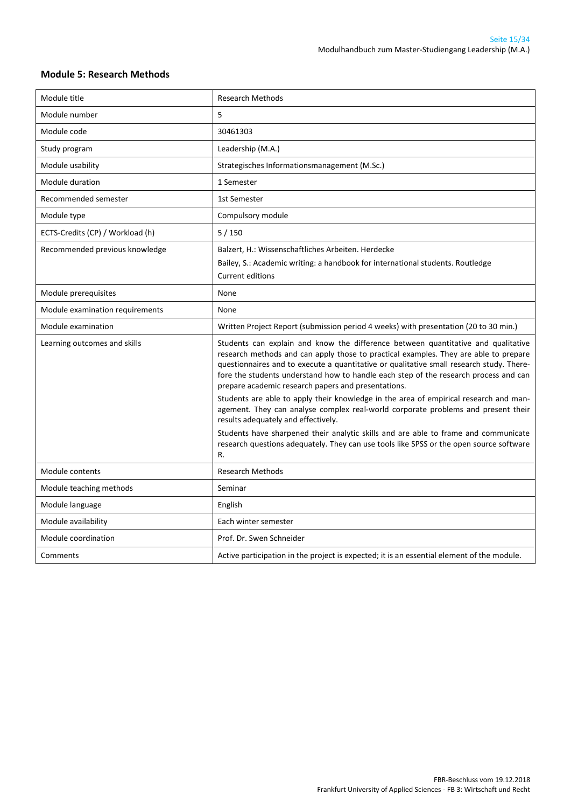#### <span id="page-14-0"></span>**Module 5: Research Methods**

| Module title                     | <b>Research Methods</b>                                                                                                                                                                                                                                                                                                                                                                                              |
|----------------------------------|----------------------------------------------------------------------------------------------------------------------------------------------------------------------------------------------------------------------------------------------------------------------------------------------------------------------------------------------------------------------------------------------------------------------|
| Module number                    | 5                                                                                                                                                                                                                                                                                                                                                                                                                    |
| Module code                      | 30461303                                                                                                                                                                                                                                                                                                                                                                                                             |
| Study program                    | Leadership (M.A.)                                                                                                                                                                                                                                                                                                                                                                                                    |
| Module usability                 | Strategisches Informationsmanagement (M.Sc.)                                                                                                                                                                                                                                                                                                                                                                         |
| Module duration                  | 1 Semester                                                                                                                                                                                                                                                                                                                                                                                                           |
| Recommended semester             | 1st Semester                                                                                                                                                                                                                                                                                                                                                                                                         |
| Module type                      | Compulsory module                                                                                                                                                                                                                                                                                                                                                                                                    |
| ECTS-Credits (CP) / Workload (h) | 5/150                                                                                                                                                                                                                                                                                                                                                                                                                |
| Recommended previous knowledge   | Balzert, H.: Wissenschaftliches Arbeiten. Herdecke                                                                                                                                                                                                                                                                                                                                                                   |
|                                  | Bailey, S.: Academic writing: a handbook for international students. Routledge                                                                                                                                                                                                                                                                                                                                       |
|                                  | Current editions                                                                                                                                                                                                                                                                                                                                                                                                     |
| Module prerequisites             | None                                                                                                                                                                                                                                                                                                                                                                                                                 |
| Module examination requirements  | None                                                                                                                                                                                                                                                                                                                                                                                                                 |
| Module examination               | Written Project Report (submission period 4 weeks) with presentation (20 to 30 min.)                                                                                                                                                                                                                                                                                                                                 |
| Learning outcomes and skills     | Students can explain and know the difference between quantitative and qualitative<br>research methods and can apply those to practical examples. They are able to prepare<br>questionnaires and to execute a quantitative or qualitative small research study. There-<br>fore the students understand how to handle each step of the research process and can<br>prepare academic research papers and presentations. |
|                                  | Students are able to apply their knowledge in the area of empirical research and man-<br>agement. They can analyse complex real-world corporate problems and present their<br>results adequately and effectively.                                                                                                                                                                                                    |
|                                  | Students have sharpened their analytic skills and are able to frame and communicate<br>research questions adequately. They can use tools like SPSS or the open source software<br>R.                                                                                                                                                                                                                                 |
| Module contents                  | <b>Research Methods</b>                                                                                                                                                                                                                                                                                                                                                                                              |
| Module teaching methods          | Seminar                                                                                                                                                                                                                                                                                                                                                                                                              |
| Module language                  | English                                                                                                                                                                                                                                                                                                                                                                                                              |
| Module availability              | Each winter semester                                                                                                                                                                                                                                                                                                                                                                                                 |
| Module coordination              | Prof. Dr. Swen Schneider                                                                                                                                                                                                                                                                                                                                                                                             |
| Comments                         | Active participation in the project is expected; it is an essential element of the module.                                                                                                                                                                                                                                                                                                                           |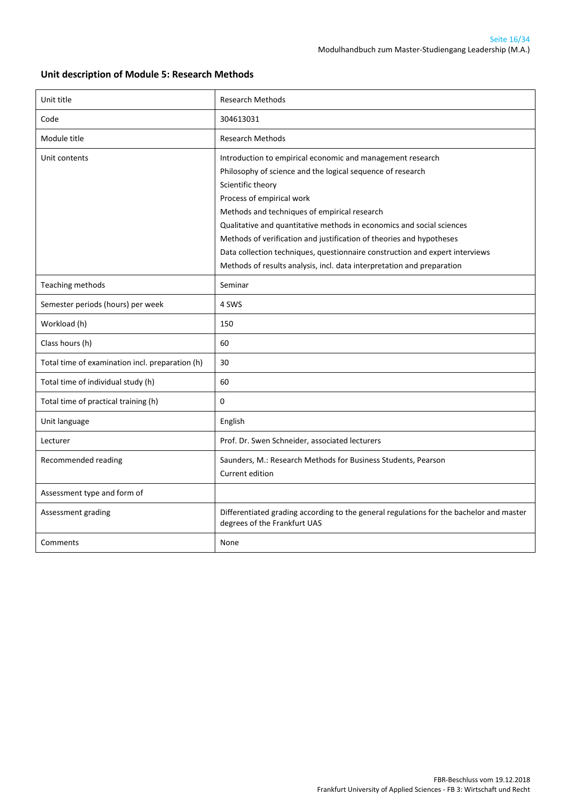#### **Unit description of Module 5: Research Methods**

| Unit title                                      | <b>Research Methods</b>                                                                                                                                                                                                                                                                                                                                                                                                                                                                                                               |
|-------------------------------------------------|---------------------------------------------------------------------------------------------------------------------------------------------------------------------------------------------------------------------------------------------------------------------------------------------------------------------------------------------------------------------------------------------------------------------------------------------------------------------------------------------------------------------------------------|
| Code                                            | 304613031                                                                                                                                                                                                                                                                                                                                                                                                                                                                                                                             |
| Module title                                    | <b>Research Methods</b>                                                                                                                                                                                                                                                                                                                                                                                                                                                                                                               |
| Unit contents                                   | Introduction to empirical economic and management research<br>Philosophy of science and the logical sequence of research<br>Scientific theory<br>Process of empirical work<br>Methods and techniques of empirical research<br>Qualitative and quantitative methods in economics and social sciences<br>Methods of verification and justification of theories and hypotheses<br>Data collection techniques, questionnaire construction and expert interviews<br>Methods of results analysis, incl. data interpretation and preparation |
| Teaching methods                                | Seminar                                                                                                                                                                                                                                                                                                                                                                                                                                                                                                                               |
| Semester periods (hours) per week               | 4 SWS                                                                                                                                                                                                                                                                                                                                                                                                                                                                                                                                 |
| Workload (h)                                    | 150                                                                                                                                                                                                                                                                                                                                                                                                                                                                                                                                   |
| Class hours (h)                                 | 60                                                                                                                                                                                                                                                                                                                                                                                                                                                                                                                                    |
| Total time of examination incl. preparation (h) | 30                                                                                                                                                                                                                                                                                                                                                                                                                                                                                                                                    |
| Total time of individual study (h)              | 60                                                                                                                                                                                                                                                                                                                                                                                                                                                                                                                                    |
| Total time of practical training (h)            | 0                                                                                                                                                                                                                                                                                                                                                                                                                                                                                                                                     |
| Unit language                                   | English                                                                                                                                                                                                                                                                                                                                                                                                                                                                                                                               |
| Lecturer                                        | Prof. Dr. Swen Schneider, associated lecturers                                                                                                                                                                                                                                                                                                                                                                                                                                                                                        |
| Recommended reading                             | Saunders, M.: Research Methods for Business Students, Pearson<br>Current edition                                                                                                                                                                                                                                                                                                                                                                                                                                                      |
| Assessment type and form of                     |                                                                                                                                                                                                                                                                                                                                                                                                                                                                                                                                       |
| Assessment grading                              | Differentiated grading according to the general regulations for the bachelor and master<br>degrees of the Frankfurt UAS                                                                                                                                                                                                                                                                                                                                                                                                               |
| Comments                                        | None                                                                                                                                                                                                                                                                                                                                                                                                                                                                                                                                  |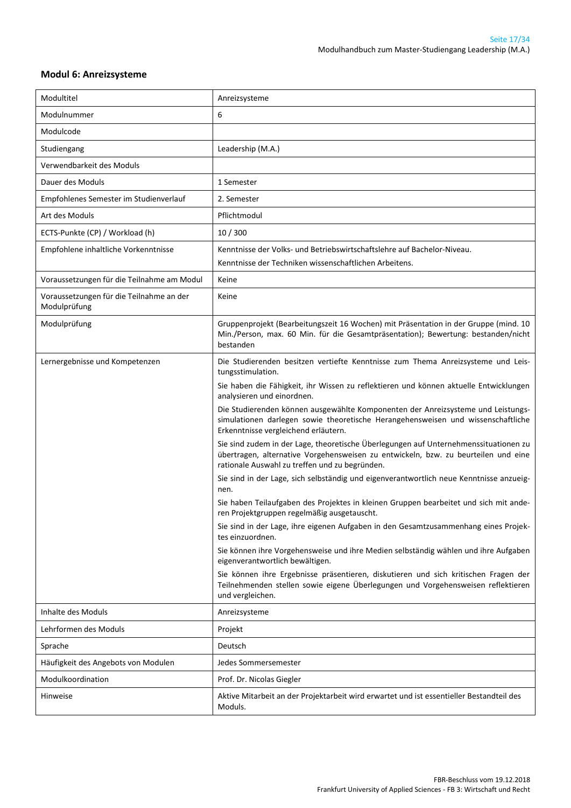#### <span id="page-16-0"></span>**Modul 6: Anreizsysteme**

| Modultitel                                               | Anreizsysteme                                                                                                                                                                                                                |
|----------------------------------------------------------|------------------------------------------------------------------------------------------------------------------------------------------------------------------------------------------------------------------------------|
| Modulnummer                                              | 6                                                                                                                                                                                                                            |
| Modulcode                                                |                                                                                                                                                                                                                              |
| Studiengang                                              | Leadership (M.A.)                                                                                                                                                                                                            |
| Verwendbarkeit des Moduls                                |                                                                                                                                                                                                                              |
| Dauer des Moduls                                         | 1 Semester                                                                                                                                                                                                                   |
| Empfohlenes Semester im Studienverlauf                   | 2. Semester                                                                                                                                                                                                                  |
| Art des Moduls                                           | Pflichtmodul                                                                                                                                                                                                                 |
| ECTS-Punkte (CP) / Workload (h)                          | 10 / 300                                                                                                                                                                                                                     |
| Empfohlene inhaltliche Vorkenntnisse                     | Kenntnisse der Volks- und Betriebswirtschaftslehre auf Bachelor-Niveau.<br>Kenntnisse der Techniken wissenschaftlichen Arbeitens.                                                                                            |
| Voraussetzungen für die Teilnahme am Modul               | Keine                                                                                                                                                                                                                        |
| Voraussetzungen für die Teilnahme an der<br>Modulprüfung | Keine                                                                                                                                                                                                                        |
| Modulprüfung                                             | Gruppenprojekt (Bearbeitungszeit 16 Wochen) mit Präsentation in der Gruppe (mind. 10<br>Min./Person, max. 60 Min. für die Gesamtpräsentation); Bewertung: bestanden/nicht<br>bestanden                                       |
| Lernergebnisse und Kompetenzen                           | Die Studierenden besitzen vertiefte Kenntnisse zum Thema Anreizsysteme und Leis-<br>tungsstimulation.                                                                                                                        |
|                                                          | Sie haben die Fähigkeit, ihr Wissen zu reflektieren und können aktuelle Entwicklungen<br>analysieren und einordnen.                                                                                                          |
|                                                          | Die Studierenden können ausgewählte Komponenten der Anreizsysteme und Leistungs-<br>simulationen darlegen sowie theoretische Herangehensweisen und wissenschaftliche<br>Erkenntnisse vergleichend erläutern.                 |
|                                                          | Sie sind zudem in der Lage, theoretische Überlegungen auf Unternehmenssituationen zu<br>übertragen, alternative Vorgehensweisen zu entwickeln, bzw. zu beurteilen und eine<br>rationale Auswahl zu treffen und zu begründen. |
|                                                          | Sie sind in der Lage, sich selbständig und eigenverantwortlich neue Kenntnisse anzueig-<br>nen.                                                                                                                              |
|                                                          | Sie haben Teilaufgaben des Projektes in kleinen Gruppen bearbeitet und sich mit ande-<br>ren Projektgruppen regelmäßig ausgetauscht.                                                                                         |
|                                                          | Sie sind in der Lage, ihre eigenen Aufgaben in den Gesamtzusammenhang eines Projek-<br>tes einzuordnen.                                                                                                                      |
|                                                          | Sie können ihre Vorgehensweise und ihre Medien selbständig wählen und ihre Aufgaben<br>eigenverantwortlich bewältigen.                                                                                                       |
|                                                          | Sie können ihre Ergebnisse präsentieren, diskutieren und sich kritischen Fragen der<br>Teilnehmenden stellen sowie eigene Überlegungen und Vorgehensweisen reflektieren<br>und vergleichen.                                  |
| Inhalte des Moduls                                       | Anreizsysteme                                                                                                                                                                                                                |
| Lehrformen des Moduls                                    | Projekt                                                                                                                                                                                                                      |
| Sprache                                                  | Deutsch                                                                                                                                                                                                                      |
| Häufigkeit des Angebots von Modulen                      | Jedes Sommersemester                                                                                                                                                                                                         |
| Modulkoordination                                        | Prof. Dr. Nicolas Giegler                                                                                                                                                                                                    |
| Hinweise                                                 | Aktive Mitarbeit an der Projektarbeit wird erwartet und ist essentieller Bestandteil des<br>Moduls.                                                                                                                          |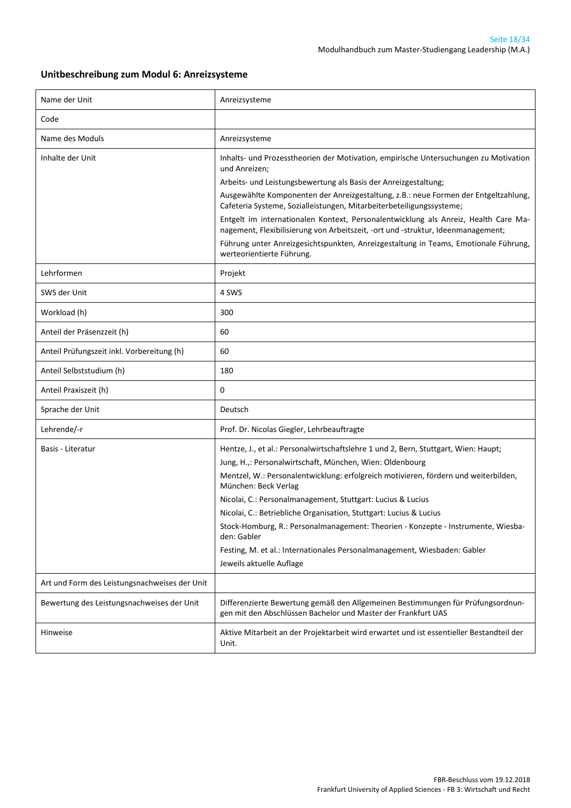#### **Unitbeschreibung zum Modul 6: Anreizsysteme**

| Name der Unit                                 | Anreizsysteme                                                                                                                                                           |
|-----------------------------------------------|-------------------------------------------------------------------------------------------------------------------------------------------------------------------------|
| Code                                          |                                                                                                                                                                         |
| Name des Moduls                               | Anreizsysteme                                                                                                                                                           |
| Inhalte der Unit                              | Inhalts- und Prozesstheorien der Motivation, empirische Untersuchungen zu Motivation<br>und Anreizen;                                                                   |
|                                               | Arbeits- und Leistungsbewertung als Basis der Anreizgestaltung;                                                                                                         |
|                                               | Ausgewählte Komponenten der Anreizgestaltung, z.B.: neue Formen der Entgeltzahlung,<br>Cafeteria Systeme, Sozialleistungen, Mitarbeiterbeteiligungssysteme;             |
|                                               | Entgelt im internationalen Kontext, Personalentwicklung als Anreiz, Health Care Ma-<br>nagement, Flexibilisierung von Arbeitszeit, -ort und -struktur, Ideenmanagement; |
|                                               | Führung unter Anreizgesichtspunkten, Anreizgestaltung in Teams, Emotionale Führung,<br>werteorientierte Führung.                                                        |
| Lehrformen                                    | Projekt                                                                                                                                                                 |
| SWS der Unit                                  | 4 SWS                                                                                                                                                                   |
| Workload (h)                                  | 300                                                                                                                                                                     |
| Anteil der Präsenzzeit (h)                    | 60                                                                                                                                                                      |
| Anteil Prüfungszeit inkl. Vorbereitung (h)    | 60                                                                                                                                                                      |
| Anteil Selbststudium (h)                      | 180                                                                                                                                                                     |
| Anteil Praxiszeit (h)                         | 0                                                                                                                                                                       |
| Sprache der Unit                              | Deutsch                                                                                                                                                                 |
| Lehrende/-r                                   | Prof. Dr. Nicolas Giegler, Lehrbeauftragte                                                                                                                              |
| Basis - Literatur                             | Hentze, J., et al.: Personalwirtschaftslehre 1 und 2, Bern, Stuttgart, Wien: Haupt;<br>Jung, H.,: Personalwirtschaft, München, Wien: Oldenbourg                         |
|                                               | Mentzel, W.: Personalentwicklung: erfolgreich motivieren, fördern und weiterbilden,<br>München: Beck Verlag                                                             |
|                                               | Nicolai, C.: Personalmanagement, Stuttgart: Lucius & Lucius                                                                                                             |
|                                               | Nicolai, C.: Betriebliche Organisation, Stuttgart: Lucius & Lucius                                                                                                      |
|                                               | Stock-Homburg, R.: Personalmanagement: Theorien - Konzepte - Instrumente, Wiesba-<br>den: Gabler                                                                        |
|                                               | Festing, M. et al.: Internationales Personalmanagement, Wiesbaden: Gabler<br>Jeweils aktuelle Auflage                                                                   |
| Art und Form des Leistungsnachweises der Unit |                                                                                                                                                                         |
| Bewertung des Leistungsnachweises der Unit    | Differenzierte Bewertung gemäß den Allgemeinen Bestimmungen für Prüfungsordnun-<br>gen mit den Abschlüssen Bachelor und Master der Frankfurt UAS                        |
| Hinweise                                      | Aktive Mitarbeit an der Projektarbeit wird erwartet und ist essentieller Bestandteil der<br>Unit.                                                                       |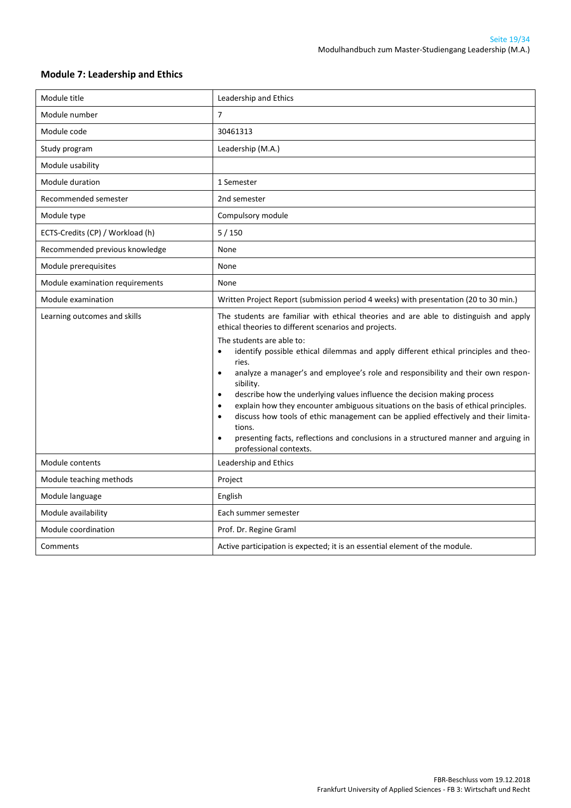| Module title                     | Leadership and Ethics                                                                                                                                                                                                                                                                                                                                                                                                                                                                                                                                                                                                                                                                                                                                                                                                                          |
|----------------------------------|------------------------------------------------------------------------------------------------------------------------------------------------------------------------------------------------------------------------------------------------------------------------------------------------------------------------------------------------------------------------------------------------------------------------------------------------------------------------------------------------------------------------------------------------------------------------------------------------------------------------------------------------------------------------------------------------------------------------------------------------------------------------------------------------------------------------------------------------|
| Module number                    | $\overline{7}$                                                                                                                                                                                                                                                                                                                                                                                                                                                                                                                                                                                                                                                                                                                                                                                                                                 |
| Module code                      | 30461313                                                                                                                                                                                                                                                                                                                                                                                                                                                                                                                                                                                                                                                                                                                                                                                                                                       |
| Study program                    | Leadership (M.A.)                                                                                                                                                                                                                                                                                                                                                                                                                                                                                                                                                                                                                                                                                                                                                                                                                              |
| Module usability                 |                                                                                                                                                                                                                                                                                                                                                                                                                                                                                                                                                                                                                                                                                                                                                                                                                                                |
| Module duration                  | 1 Semester                                                                                                                                                                                                                                                                                                                                                                                                                                                                                                                                                                                                                                                                                                                                                                                                                                     |
| Recommended semester             | 2nd semester                                                                                                                                                                                                                                                                                                                                                                                                                                                                                                                                                                                                                                                                                                                                                                                                                                   |
| Module type                      | Compulsory module                                                                                                                                                                                                                                                                                                                                                                                                                                                                                                                                                                                                                                                                                                                                                                                                                              |
| ECTS-Credits (CP) / Workload (h) | 5/150                                                                                                                                                                                                                                                                                                                                                                                                                                                                                                                                                                                                                                                                                                                                                                                                                                          |
| Recommended previous knowledge   | None                                                                                                                                                                                                                                                                                                                                                                                                                                                                                                                                                                                                                                                                                                                                                                                                                                           |
| Module prerequisites             | None                                                                                                                                                                                                                                                                                                                                                                                                                                                                                                                                                                                                                                                                                                                                                                                                                                           |
| Module examination requirements  | None                                                                                                                                                                                                                                                                                                                                                                                                                                                                                                                                                                                                                                                                                                                                                                                                                                           |
| Module examination               | Written Project Report (submission period 4 weeks) with presentation (20 to 30 min.)                                                                                                                                                                                                                                                                                                                                                                                                                                                                                                                                                                                                                                                                                                                                                           |
| Learning outcomes and skills     | The students are familiar with ethical theories and are able to distinguish and apply<br>ethical theories to different scenarios and projects.<br>The students are able to:<br>identify possible ethical dilemmas and apply different ethical principles and theo-<br>$\bullet$<br>ries.<br>analyze a manager's and employee's role and responsibility and their own respon-<br>$\bullet$<br>sibility.<br>describe how the underlying values influence the decision making process<br>$\bullet$<br>explain how they encounter ambiguous situations on the basis of ethical principles.<br>$\bullet$<br>discuss how tools of ethic management can be applied effectively and their limita-<br>$\bullet$<br>tions.<br>presenting facts, reflections and conclusions in a structured manner and arguing in<br>$\bullet$<br>professional contexts. |
| Module contents                  | Leadership and Ethics                                                                                                                                                                                                                                                                                                                                                                                                                                                                                                                                                                                                                                                                                                                                                                                                                          |
| Module teaching methods          | Project                                                                                                                                                                                                                                                                                                                                                                                                                                                                                                                                                                                                                                                                                                                                                                                                                                        |
| Module language                  | English                                                                                                                                                                                                                                                                                                                                                                                                                                                                                                                                                                                                                                                                                                                                                                                                                                        |
| Module availability              | Each summer semester                                                                                                                                                                                                                                                                                                                                                                                                                                                                                                                                                                                                                                                                                                                                                                                                                           |
| Module coordination              | Prof. Dr. Regine Graml                                                                                                                                                                                                                                                                                                                                                                                                                                                                                                                                                                                                                                                                                                                                                                                                                         |
| Comments                         | Active participation is expected; it is an essential element of the module.                                                                                                                                                                                                                                                                                                                                                                                                                                                                                                                                                                                                                                                                                                                                                                    |

#### <span id="page-18-0"></span>**Module 7: Leadership and Ethics**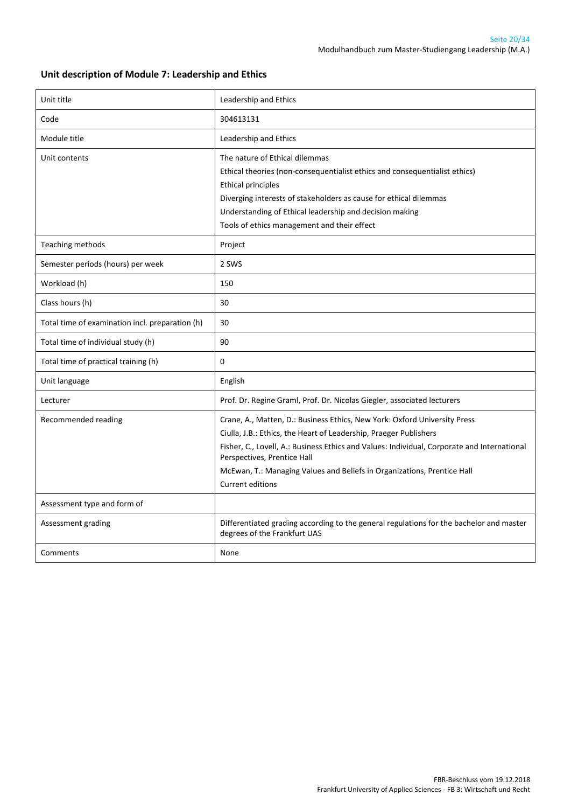#### **Unit description of Module 7: Leadership and Ethics**

| Unit title                                      | Leadership and Ethics                                                                                                                                                                                                                                                                                                                                                              |
|-------------------------------------------------|------------------------------------------------------------------------------------------------------------------------------------------------------------------------------------------------------------------------------------------------------------------------------------------------------------------------------------------------------------------------------------|
| Code                                            | 304613131                                                                                                                                                                                                                                                                                                                                                                          |
| Module title                                    | Leadership and Ethics                                                                                                                                                                                                                                                                                                                                                              |
| Unit contents                                   | The nature of Ethical dilemmas<br>Ethical theories (non-consequentialist ethics and consequentialist ethics)<br><b>Ethical principles</b><br>Diverging interests of stakeholders as cause for ethical dilemmas<br>Understanding of Ethical leadership and decision making<br>Tools of ethics management and their effect                                                           |
| Teaching methods                                | Project                                                                                                                                                                                                                                                                                                                                                                            |
| Semester periods (hours) per week               | 2 SWS                                                                                                                                                                                                                                                                                                                                                                              |
| Workload (h)                                    | 150                                                                                                                                                                                                                                                                                                                                                                                |
| Class hours (h)                                 | 30                                                                                                                                                                                                                                                                                                                                                                                 |
| Total time of examination incl. preparation (h) | 30                                                                                                                                                                                                                                                                                                                                                                                 |
| Total time of individual study (h)              | 90                                                                                                                                                                                                                                                                                                                                                                                 |
| Total time of practical training (h)            | 0                                                                                                                                                                                                                                                                                                                                                                                  |
| Unit language                                   | English                                                                                                                                                                                                                                                                                                                                                                            |
| Lecturer                                        | Prof. Dr. Regine Graml, Prof. Dr. Nicolas Giegler, associated lecturers                                                                                                                                                                                                                                                                                                            |
| Recommended reading                             | Crane, A., Matten, D.: Business Ethics, New York: Oxford University Press<br>Ciulla, J.B.: Ethics, the Heart of Leadership, Praeger Publishers<br>Fisher, C., Lovell, A.: Business Ethics and Values: Individual, Corporate and International<br>Perspectives, Prentice Hall<br>McEwan, T.: Managing Values and Beliefs in Organizations, Prentice Hall<br><b>Current editions</b> |
| Assessment type and form of                     |                                                                                                                                                                                                                                                                                                                                                                                    |
| Assessment grading                              | Differentiated grading according to the general regulations for the bachelor and master<br>degrees of the Frankfurt UAS                                                                                                                                                                                                                                                            |
| Comments                                        | None                                                                                                                                                                                                                                                                                                                                                                               |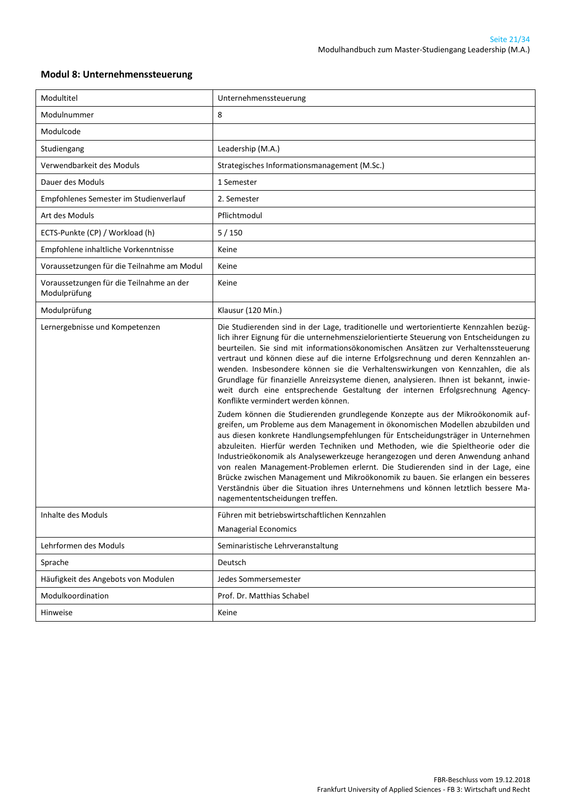| Modultitel                                               | Unternehmenssteuerung                                                                                                                                                                                                                                                                                                                                                                                                                                                                                                                                                                                                                                                                                                                                                                                                                                                                                                                                                                                                                                                                                                                                                                                                                                                                                                                                                                             |
|----------------------------------------------------------|---------------------------------------------------------------------------------------------------------------------------------------------------------------------------------------------------------------------------------------------------------------------------------------------------------------------------------------------------------------------------------------------------------------------------------------------------------------------------------------------------------------------------------------------------------------------------------------------------------------------------------------------------------------------------------------------------------------------------------------------------------------------------------------------------------------------------------------------------------------------------------------------------------------------------------------------------------------------------------------------------------------------------------------------------------------------------------------------------------------------------------------------------------------------------------------------------------------------------------------------------------------------------------------------------------------------------------------------------------------------------------------------------|
| Modulnummer                                              | 8                                                                                                                                                                                                                                                                                                                                                                                                                                                                                                                                                                                                                                                                                                                                                                                                                                                                                                                                                                                                                                                                                                                                                                                                                                                                                                                                                                                                 |
| Modulcode                                                |                                                                                                                                                                                                                                                                                                                                                                                                                                                                                                                                                                                                                                                                                                                                                                                                                                                                                                                                                                                                                                                                                                                                                                                                                                                                                                                                                                                                   |
| Studiengang                                              | Leadership (M.A.)                                                                                                                                                                                                                                                                                                                                                                                                                                                                                                                                                                                                                                                                                                                                                                                                                                                                                                                                                                                                                                                                                                                                                                                                                                                                                                                                                                                 |
| Verwendbarkeit des Moduls                                | Strategisches Informationsmanagement (M.Sc.)                                                                                                                                                                                                                                                                                                                                                                                                                                                                                                                                                                                                                                                                                                                                                                                                                                                                                                                                                                                                                                                                                                                                                                                                                                                                                                                                                      |
| Dauer des Moduls                                         | 1 Semester                                                                                                                                                                                                                                                                                                                                                                                                                                                                                                                                                                                                                                                                                                                                                                                                                                                                                                                                                                                                                                                                                                                                                                                                                                                                                                                                                                                        |
| Empfohlenes Semester im Studienverlauf                   | 2. Semester                                                                                                                                                                                                                                                                                                                                                                                                                                                                                                                                                                                                                                                                                                                                                                                                                                                                                                                                                                                                                                                                                                                                                                                                                                                                                                                                                                                       |
| Art des Moduls                                           | Pflichtmodul                                                                                                                                                                                                                                                                                                                                                                                                                                                                                                                                                                                                                                                                                                                                                                                                                                                                                                                                                                                                                                                                                                                                                                                                                                                                                                                                                                                      |
| ECTS-Punkte (CP) / Workload (h)                          | 5/150                                                                                                                                                                                                                                                                                                                                                                                                                                                                                                                                                                                                                                                                                                                                                                                                                                                                                                                                                                                                                                                                                                                                                                                                                                                                                                                                                                                             |
| Empfohlene inhaltliche Vorkenntnisse                     | Keine                                                                                                                                                                                                                                                                                                                                                                                                                                                                                                                                                                                                                                                                                                                                                                                                                                                                                                                                                                                                                                                                                                                                                                                                                                                                                                                                                                                             |
| Voraussetzungen für die Teilnahme am Modul               | Keine                                                                                                                                                                                                                                                                                                                                                                                                                                                                                                                                                                                                                                                                                                                                                                                                                                                                                                                                                                                                                                                                                                                                                                                                                                                                                                                                                                                             |
| Voraussetzungen für die Teilnahme an der<br>Modulprüfung | Keine                                                                                                                                                                                                                                                                                                                                                                                                                                                                                                                                                                                                                                                                                                                                                                                                                                                                                                                                                                                                                                                                                                                                                                                                                                                                                                                                                                                             |
| Modulprüfung                                             | Klausur (120 Min.)                                                                                                                                                                                                                                                                                                                                                                                                                                                                                                                                                                                                                                                                                                                                                                                                                                                                                                                                                                                                                                                                                                                                                                                                                                                                                                                                                                                |
| Lernergebnisse und Kompetenzen                           | Die Studierenden sind in der Lage, traditionelle und wertorientierte Kennzahlen bezüg-<br>lich ihrer Eignung für die unternehmenszielorientierte Steuerung von Entscheidungen zu<br>beurteilen. Sie sind mit informationsökonomischen Ansätzen zur Verhaltenssteuerung<br>vertraut und können diese auf die interne Erfolgsrechnung und deren Kennzahlen an-<br>wenden. Insbesondere können sie die Verhaltenswirkungen von Kennzahlen, die als<br>Grundlage für finanzielle Anreizsysteme dienen, analysieren. Ihnen ist bekannt, inwie-<br>weit durch eine entsprechende Gestaltung der internen Erfolgsrechnung Agency-<br>Konflikte vermindert werden können.<br>Zudem können die Studierenden grundlegende Konzepte aus der Mikroökonomik auf-<br>greifen, um Probleme aus dem Management in ökonomischen Modellen abzubilden und<br>aus diesen konkrete Handlungsempfehlungen für Entscheidungsträger in Unternehmen<br>abzuleiten. Hierfür werden Techniken und Methoden, wie die Spieltheorie oder die<br>Industrieökonomik als Analysewerkzeuge herangezogen und deren Anwendung anhand<br>von realen Management-Problemen erlernt. Die Studierenden sind in der Lage, eine<br>Brücke zwischen Management und Mikroökonomik zu bauen. Sie erlangen ein besseres<br>Verständnis über die Situation ihres Unternehmens und können letztlich bessere Ma-<br>nagemententscheidungen treffen. |
| Inhalte des Moduls                                       | Führen mit betriebswirtschaftlichen Kennzahlen                                                                                                                                                                                                                                                                                                                                                                                                                                                                                                                                                                                                                                                                                                                                                                                                                                                                                                                                                                                                                                                                                                                                                                                                                                                                                                                                                    |
|                                                          | <b>Managerial Economics</b>                                                                                                                                                                                                                                                                                                                                                                                                                                                                                                                                                                                                                                                                                                                                                                                                                                                                                                                                                                                                                                                                                                                                                                                                                                                                                                                                                                       |
| Lehrformen des Moduls                                    | Seminaristische Lehrveranstaltung                                                                                                                                                                                                                                                                                                                                                                                                                                                                                                                                                                                                                                                                                                                                                                                                                                                                                                                                                                                                                                                                                                                                                                                                                                                                                                                                                                 |
| Sprache                                                  | Deutsch                                                                                                                                                                                                                                                                                                                                                                                                                                                                                                                                                                                                                                                                                                                                                                                                                                                                                                                                                                                                                                                                                                                                                                                                                                                                                                                                                                                           |
| Häufigkeit des Angebots von Modulen                      | Jedes Sommersemester                                                                                                                                                                                                                                                                                                                                                                                                                                                                                                                                                                                                                                                                                                                                                                                                                                                                                                                                                                                                                                                                                                                                                                                                                                                                                                                                                                              |
| Modulkoordination                                        | Prof. Dr. Matthias Schabel                                                                                                                                                                                                                                                                                                                                                                                                                                                                                                                                                                                                                                                                                                                                                                                                                                                                                                                                                                                                                                                                                                                                                                                                                                                                                                                                                                        |
| Hinweise                                                 | Keine                                                                                                                                                                                                                                                                                                                                                                                                                                                                                                                                                                                                                                                                                                                                                                                                                                                                                                                                                                                                                                                                                                                                                                                                                                                                                                                                                                                             |

#### <span id="page-20-0"></span>**Modul 8: Unternehmenssteuerung**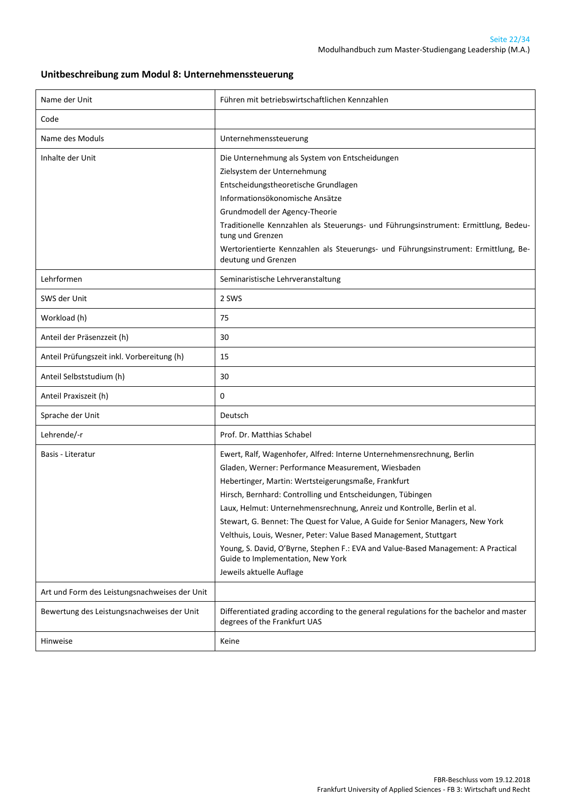#### **Unitbeschreibung zum Modul 8: Unternehmenssteuerung**

| Name der Unit                                 | Führen mit betriebswirtschaftlichen Kennzahlen                                                                                                                                                                                                                                                                                                                                                                                                                                                                                                                                                                                           |
|-----------------------------------------------|------------------------------------------------------------------------------------------------------------------------------------------------------------------------------------------------------------------------------------------------------------------------------------------------------------------------------------------------------------------------------------------------------------------------------------------------------------------------------------------------------------------------------------------------------------------------------------------------------------------------------------------|
| Code                                          |                                                                                                                                                                                                                                                                                                                                                                                                                                                                                                                                                                                                                                          |
| Name des Moduls                               | Unternehmenssteuerung                                                                                                                                                                                                                                                                                                                                                                                                                                                                                                                                                                                                                    |
| Inhalte der Unit                              | Die Unternehmung als System von Entscheidungen<br>Zielsystem der Unternehmung<br>Entscheidungstheoretische Grundlagen<br>Informationsökonomische Ansätze<br>Grundmodell der Agency-Theorie<br>Traditionelle Kennzahlen als Steuerungs- und Führungsinstrument: Ermittlung, Bedeu-<br>tung und Grenzen<br>Wertorientierte Kennzahlen als Steuerungs- und Führungsinstrument: Ermittlung, Be-<br>deutung und Grenzen                                                                                                                                                                                                                       |
| Lehrformen                                    | Seminaristische Lehrveranstaltung                                                                                                                                                                                                                                                                                                                                                                                                                                                                                                                                                                                                        |
| SWS der Unit                                  | 2 SWS                                                                                                                                                                                                                                                                                                                                                                                                                                                                                                                                                                                                                                    |
| Workload (h)                                  | 75                                                                                                                                                                                                                                                                                                                                                                                                                                                                                                                                                                                                                                       |
| Anteil der Präsenzzeit (h)                    | 30                                                                                                                                                                                                                                                                                                                                                                                                                                                                                                                                                                                                                                       |
| Anteil Prüfungszeit inkl. Vorbereitung (h)    | 15                                                                                                                                                                                                                                                                                                                                                                                                                                                                                                                                                                                                                                       |
| Anteil Selbststudium (h)                      | 30                                                                                                                                                                                                                                                                                                                                                                                                                                                                                                                                                                                                                                       |
| Anteil Praxiszeit (h)                         | 0                                                                                                                                                                                                                                                                                                                                                                                                                                                                                                                                                                                                                                        |
| Sprache der Unit                              | Deutsch                                                                                                                                                                                                                                                                                                                                                                                                                                                                                                                                                                                                                                  |
| Lehrende/-r                                   | Prof. Dr. Matthias Schabel                                                                                                                                                                                                                                                                                                                                                                                                                                                                                                                                                                                                               |
| Basis - Literatur                             | Ewert, Ralf, Wagenhofer, Alfred: Interne Unternehmensrechnung, Berlin<br>Gladen, Werner: Performance Measurement, Wiesbaden<br>Hebertinger, Martin: Wertsteigerungsmaße, Frankfurt<br>Hirsch, Bernhard: Controlling und Entscheidungen, Tübingen<br>Laux, Helmut: Unternehmensrechnung, Anreiz und Kontrolle, Berlin et al.<br>Stewart, G. Bennet: The Quest for Value, A Guide for Senior Managers, New York<br>Velthuis, Louis, Wesner, Peter: Value Based Management, Stuttgart<br>Young, S. David, O'Byrne, Stephen F.: EVA and Value-Based Management: A Practical<br>Guide to Implementation, New York<br>Jeweils aktuelle Auflage |
| Art und Form des Leistungsnachweises der Unit |                                                                                                                                                                                                                                                                                                                                                                                                                                                                                                                                                                                                                                          |
| Bewertung des Leistungsnachweises der Unit    | Differentiated grading according to the general regulations for the bachelor and master<br>degrees of the Frankfurt UAS                                                                                                                                                                                                                                                                                                                                                                                                                                                                                                                  |
| Hinweise                                      | Keine                                                                                                                                                                                                                                                                                                                                                                                                                                                                                                                                                                                                                                    |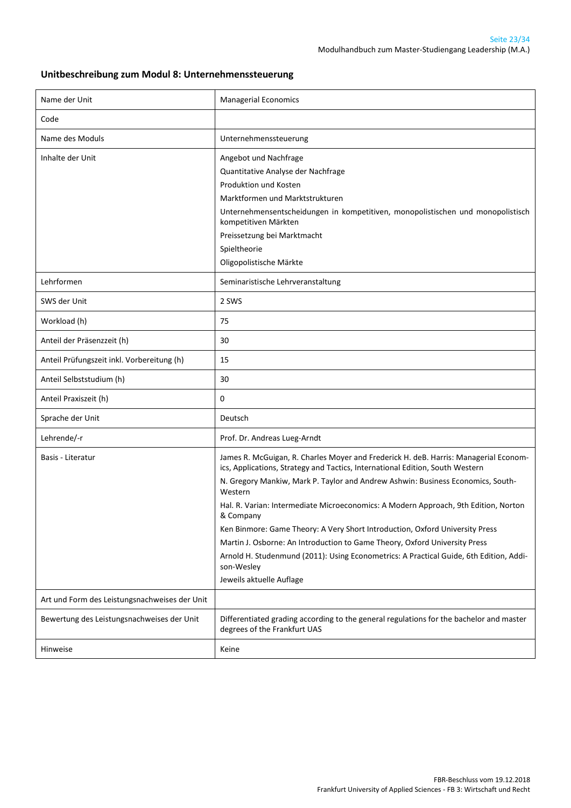#### **Unitbeschreibung zum Modul 8: Unternehmenssteuerung**

| Name der Unit                                 | <b>Managerial Economics</b>                                                                                                                                                                                                                                                                                                                                                                                                                                                                                                                                                                                                                                               |
|-----------------------------------------------|---------------------------------------------------------------------------------------------------------------------------------------------------------------------------------------------------------------------------------------------------------------------------------------------------------------------------------------------------------------------------------------------------------------------------------------------------------------------------------------------------------------------------------------------------------------------------------------------------------------------------------------------------------------------------|
| Code                                          |                                                                                                                                                                                                                                                                                                                                                                                                                                                                                                                                                                                                                                                                           |
| Name des Moduls                               | Unternehmenssteuerung                                                                                                                                                                                                                                                                                                                                                                                                                                                                                                                                                                                                                                                     |
| Inhalte der Unit                              | Angebot und Nachfrage<br>Quantitative Analyse der Nachfrage<br>Produktion und Kosten<br>Marktformen und Marktstrukturen<br>Unternehmensentscheidungen in kompetitiven, monopolistischen und monopolistisch<br>kompetitiven Märkten<br>Preissetzung bei Marktmacht<br>Spieltheorie<br>Oligopolistische Märkte                                                                                                                                                                                                                                                                                                                                                              |
| Lehrformen                                    | Seminaristische Lehrveranstaltung                                                                                                                                                                                                                                                                                                                                                                                                                                                                                                                                                                                                                                         |
| SWS der Unit                                  | 2 SWS                                                                                                                                                                                                                                                                                                                                                                                                                                                                                                                                                                                                                                                                     |
| Workload (h)                                  | 75                                                                                                                                                                                                                                                                                                                                                                                                                                                                                                                                                                                                                                                                        |
| Anteil der Präsenzzeit (h)                    | 30                                                                                                                                                                                                                                                                                                                                                                                                                                                                                                                                                                                                                                                                        |
| Anteil Prüfungszeit inkl. Vorbereitung (h)    | 15                                                                                                                                                                                                                                                                                                                                                                                                                                                                                                                                                                                                                                                                        |
| Anteil Selbststudium (h)                      | 30                                                                                                                                                                                                                                                                                                                                                                                                                                                                                                                                                                                                                                                                        |
| Anteil Praxiszeit (h)                         | 0                                                                                                                                                                                                                                                                                                                                                                                                                                                                                                                                                                                                                                                                         |
| Sprache der Unit                              | Deutsch                                                                                                                                                                                                                                                                                                                                                                                                                                                                                                                                                                                                                                                                   |
| Lehrende/-r                                   | Prof. Dr. Andreas Lueg-Arndt                                                                                                                                                                                                                                                                                                                                                                                                                                                                                                                                                                                                                                              |
| Basis - Literatur                             | James R. McGuigan, R. Charles Moyer and Frederick H. deB. Harris: Managerial Econom-<br>ics, Applications, Strategy and Tactics, International Edition, South Western<br>N. Gregory Mankiw, Mark P. Taylor and Andrew Ashwin: Business Economics, South-<br>Western<br>Hal. R. Varian: Intermediate Microeconomics: A Modern Approach, 9th Edition, Norton<br>& Company<br>Ken Binmore: Game Theory: A Very Short Introduction, Oxford University Press<br>Martin J. Osborne: An Introduction to Game Theory, Oxford University Press<br>Arnold H. Studenmund (2011): Using Econometrics: A Practical Guide, 6th Edition, Addi-<br>son-Wesley<br>Jeweils aktuelle Auflage |
| Art und Form des Leistungsnachweises der Unit |                                                                                                                                                                                                                                                                                                                                                                                                                                                                                                                                                                                                                                                                           |
| Bewertung des Leistungsnachweises der Unit    | Differentiated grading according to the general regulations for the bachelor and master<br>degrees of the Frankfurt UAS                                                                                                                                                                                                                                                                                                                                                                                                                                                                                                                                                   |
| Hinweise                                      | Keine                                                                                                                                                                                                                                                                                                                                                                                                                                                                                                                                                                                                                                                                     |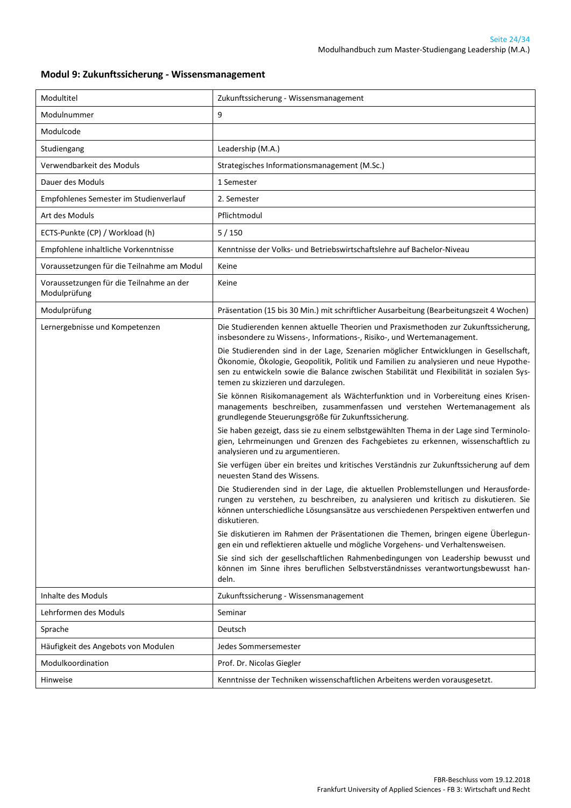#### <span id="page-23-0"></span>**Modul 9: Zukunftssicherung - Wissensmanagement**

| Modultitel                                               | Zukunftssicherung - Wissensmanagement                                                                                                                                                                                                                                                                              |
|----------------------------------------------------------|--------------------------------------------------------------------------------------------------------------------------------------------------------------------------------------------------------------------------------------------------------------------------------------------------------------------|
| Modulnummer                                              | 9                                                                                                                                                                                                                                                                                                                  |
| Modulcode                                                |                                                                                                                                                                                                                                                                                                                    |
| Studiengang                                              | Leadership (M.A.)                                                                                                                                                                                                                                                                                                  |
| Verwendbarkeit des Moduls                                | Strategisches Informationsmanagement (M.Sc.)                                                                                                                                                                                                                                                                       |
| Dauer des Moduls                                         | 1 Semester                                                                                                                                                                                                                                                                                                         |
| Empfohlenes Semester im Studienverlauf                   | 2. Semester                                                                                                                                                                                                                                                                                                        |
| Art des Moduls                                           | Pflichtmodul                                                                                                                                                                                                                                                                                                       |
| ECTS-Punkte (CP) / Workload (h)                          | 5/150                                                                                                                                                                                                                                                                                                              |
| Empfohlene inhaltliche Vorkenntnisse                     | Kenntnisse der Volks- und Betriebswirtschaftslehre auf Bachelor-Niveau                                                                                                                                                                                                                                             |
| Voraussetzungen für die Teilnahme am Modul               | Keine                                                                                                                                                                                                                                                                                                              |
| Voraussetzungen für die Teilnahme an der<br>Modulprüfung | Keine                                                                                                                                                                                                                                                                                                              |
| Modulprüfung                                             | Präsentation (15 bis 30 Min.) mit schriftlicher Ausarbeitung (Bearbeitungszeit 4 Wochen)                                                                                                                                                                                                                           |
| Lernergebnisse und Kompetenzen                           | Die Studierenden kennen aktuelle Theorien und Praxismethoden zur Zukunftssicherung,<br>insbesondere zu Wissens-, Informations-, Risiko-, und Wertemanagement.                                                                                                                                                      |
|                                                          | Die Studierenden sind in der Lage, Szenarien möglicher Entwicklungen in Gesellschaft,<br>Ökonomie, Ökologie, Geopolitik, Politik und Familien zu analysieren und neue Hypothe-<br>sen zu entwickeln sowie die Balance zwischen Stabilität und Flexibilität in sozialen Sys-<br>temen zu skizzieren und darzulegen. |
|                                                          | Sie können Risikomanagement als Wächterfunktion und in Vorbereitung eines Krisen-<br>managements beschreiben, zusammenfassen und verstehen Wertemanagement als<br>grundlegende Steuerungsgröße für Zukunftssicherung.                                                                                              |
|                                                          | Sie haben gezeigt, dass sie zu einem selbstgewählten Thema in der Lage sind Terminolo-<br>gien, Lehrmeinungen und Grenzen des Fachgebietes zu erkennen, wissenschaftlich zu<br>analysieren und zu argumentieren.                                                                                                   |
|                                                          | Sie verfügen über ein breites und kritisches Verständnis zur Zukunftssicherung auf dem<br>neuesten Stand des Wissens.                                                                                                                                                                                              |
|                                                          | Die Studierenden sind in der Lage, die aktuellen Problemstellungen und Herausforde-<br>rungen zu verstehen, zu beschreiben, zu analysieren und kritisch zu diskutieren. Sie<br>können unterschiedliche Lösungsansätze aus verschiedenen Perspektiven entwerfen und<br>diskutieren.                                 |
|                                                          | Sie diskutieren im Rahmen der Präsentationen die Themen, bringen eigene Überlegun-<br>gen ein und reflektieren aktuelle und mögliche Vorgehens- und Verhaltensweisen.                                                                                                                                              |
|                                                          | Sie sind sich der gesellschaftlichen Rahmenbedingungen von Leadership bewusst und<br>können im Sinne ihres beruflichen Selbstverständnisses verantwortungsbewusst han-<br>deln.                                                                                                                                    |
| Inhalte des Moduls                                       | Zukunftssicherung - Wissensmanagement                                                                                                                                                                                                                                                                              |
| Lehrformen des Moduls                                    | Seminar                                                                                                                                                                                                                                                                                                            |
| Sprache                                                  | Deutsch                                                                                                                                                                                                                                                                                                            |
| Häufigkeit des Angebots von Modulen                      | Jedes Sommersemester                                                                                                                                                                                                                                                                                               |
| Modulkoordination                                        | Prof. Dr. Nicolas Giegler                                                                                                                                                                                                                                                                                          |
| Hinweise                                                 | Kenntnisse der Techniken wissenschaftlichen Arbeitens werden vorausgesetzt.                                                                                                                                                                                                                                        |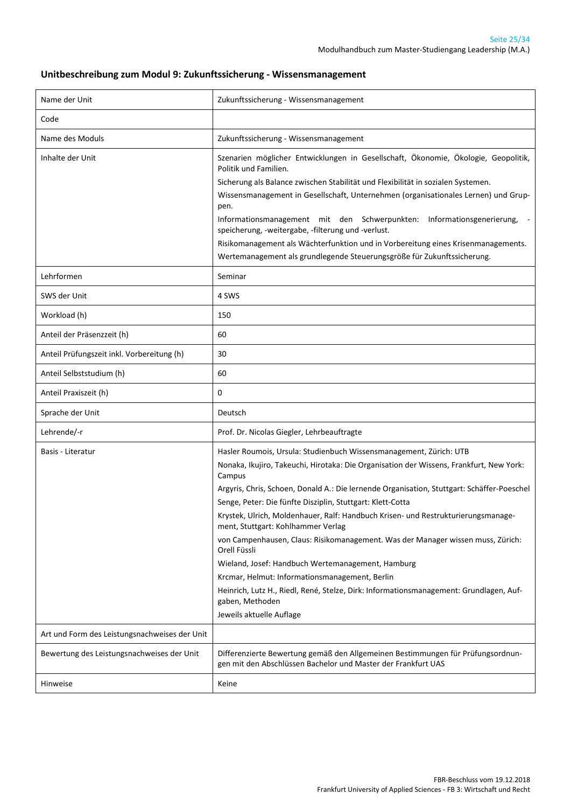#### **Unitbeschreibung zum Modul 9: Zukunftssicherung - Wissensmanagement**

<span id="page-24-0"></span>

| Name der Unit                                 | Zukunftssicherung - Wissensmanagement                                                                                                                                                                                                                                                                                                                                                                                                                                                                                                                                                                                                                                                                                                                                                                             |
|-----------------------------------------------|-------------------------------------------------------------------------------------------------------------------------------------------------------------------------------------------------------------------------------------------------------------------------------------------------------------------------------------------------------------------------------------------------------------------------------------------------------------------------------------------------------------------------------------------------------------------------------------------------------------------------------------------------------------------------------------------------------------------------------------------------------------------------------------------------------------------|
| Code                                          |                                                                                                                                                                                                                                                                                                                                                                                                                                                                                                                                                                                                                                                                                                                                                                                                                   |
| Name des Moduls                               | Zukunftssicherung - Wissensmanagement                                                                                                                                                                                                                                                                                                                                                                                                                                                                                                                                                                                                                                                                                                                                                                             |
| Inhalte der Unit                              | Szenarien möglicher Entwicklungen in Gesellschaft, Ökonomie, Ökologie, Geopolitik,<br>Politik und Familien.<br>Sicherung als Balance zwischen Stabilität und Flexibilität in sozialen Systemen.<br>Wissensmanagement in Gesellschaft, Unternehmen (organisationales Lernen) und Grup-<br>pen.<br>Informationsmanagement mit den Schwerpunkten: Informationsgenerierung,<br>speicherung, -weitergabe, -filterung und -verlust.<br>Risikomanagement als Wächterfunktion und in Vorbereitung eines Krisenmanagements.<br>Wertemanagement als grundlegende Steuerungsgröße für Zukunftssicherung.                                                                                                                                                                                                                     |
| Lehrformen                                    | Seminar                                                                                                                                                                                                                                                                                                                                                                                                                                                                                                                                                                                                                                                                                                                                                                                                           |
| SWS der Unit                                  | 4 SWS                                                                                                                                                                                                                                                                                                                                                                                                                                                                                                                                                                                                                                                                                                                                                                                                             |
| Workload (h)                                  | 150                                                                                                                                                                                                                                                                                                                                                                                                                                                                                                                                                                                                                                                                                                                                                                                                               |
| Anteil der Präsenzzeit (h)                    | 60                                                                                                                                                                                                                                                                                                                                                                                                                                                                                                                                                                                                                                                                                                                                                                                                                |
| Anteil Prüfungszeit inkl. Vorbereitung (h)    | 30                                                                                                                                                                                                                                                                                                                                                                                                                                                                                                                                                                                                                                                                                                                                                                                                                |
| Anteil Selbststudium (h)                      | 60                                                                                                                                                                                                                                                                                                                                                                                                                                                                                                                                                                                                                                                                                                                                                                                                                |
| Anteil Praxiszeit (h)                         | 0                                                                                                                                                                                                                                                                                                                                                                                                                                                                                                                                                                                                                                                                                                                                                                                                                 |
| Sprache der Unit                              | Deutsch                                                                                                                                                                                                                                                                                                                                                                                                                                                                                                                                                                                                                                                                                                                                                                                                           |
| Lehrende/-r                                   | Prof. Dr. Nicolas Giegler, Lehrbeauftragte                                                                                                                                                                                                                                                                                                                                                                                                                                                                                                                                                                                                                                                                                                                                                                        |
| Basis - Literatur                             | Hasler Roumois, Ursula: Studienbuch Wissensmanagement, Zürich: UTB<br>Nonaka, Ikujiro, Takeuchi, Hirotaka: Die Organisation der Wissens, Frankfurt, New York:<br>Campus<br>Argyris, Chris, Schoen, Donald A.: Die lernende Organisation, Stuttgart: Schäffer-Poeschel<br>Senge, Peter: Die fünfte Disziplin, Stuttgart: Klett-Cotta<br>Krystek, Ulrich, Moldenhauer, Ralf: Handbuch Krisen- und Restrukturierungsmanage-<br>ment, Stuttgart: Kohlhammer Verlag<br>von Campenhausen, Claus: Risikomanagement. Was der Manager wissen muss, Zürich:<br>Orell Füssli<br>Wieland, Josef: Handbuch Wertemanagement, Hamburg<br>Krcmar, Helmut: Informationsmanagement, Berlin<br>Heinrich, Lutz H., Riedl, René, Stelze, Dirk: Informationsmanagement: Grundlagen, Auf-<br>gaben, Methoden<br>Jeweils aktuelle Auflage |
| Art und Form des Leistungsnachweises der Unit |                                                                                                                                                                                                                                                                                                                                                                                                                                                                                                                                                                                                                                                                                                                                                                                                                   |
| Bewertung des Leistungsnachweises der Unit    | Differenzierte Bewertung gemäß den Allgemeinen Bestimmungen für Prüfungsordnun-<br>gen mit den Abschlüssen Bachelor und Master der Frankfurt UAS                                                                                                                                                                                                                                                                                                                                                                                                                                                                                                                                                                                                                                                                  |
| Hinweise                                      | Keine                                                                                                                                                                                                                                                                                                                                                                                                                                                                                                                                                                                                                                                                                                                                                                                                             |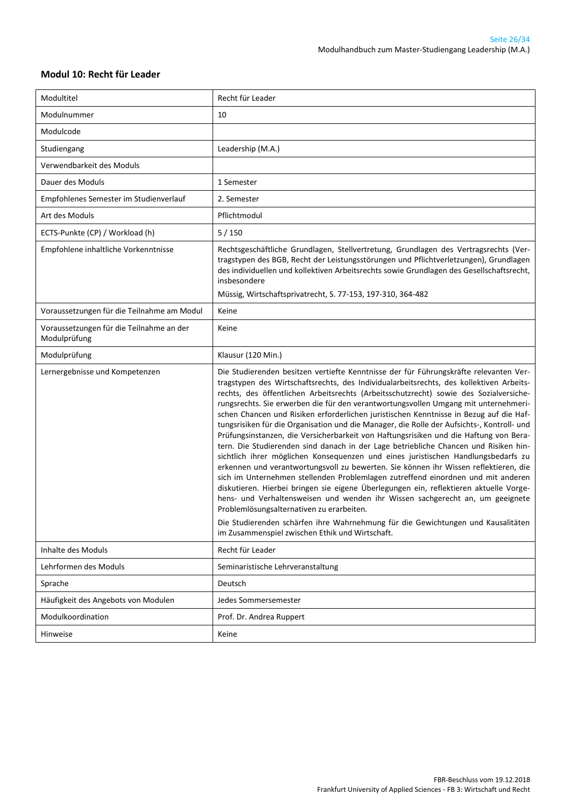#### **Modul 10: Recht für Leader**

| Modultitel                                               | Recht für Leader                                                                                                                                                                                                                                                                                                                                                                                                                                                                                                                                                                                                                                                                                                                                                                                                                                                                                                                                                                                                                                                                             |
|----------------------------------------------------------|----------------------------------------------------------------------------------------------------------------------------------------------------------------------------------------------------------------------------------------------------------------------------------------------------------------------------------------------------------------------------------------------------------------------------------------------------------------------------------------------------------------------------------------------------------------------------------------------------------------------------------------------------------------------------------------------------------------------------------------------------------------------------------------------------------------------------------------------------------------------------------------------------------------------------------------------------------------------------------------------------------------------------------------------------------------------------------------------|
| Modulnummer                                              | 10                                                                                                                                                                                                                                                                                                                                                                                                                                                                                                                                                                                                                                                                                                                                                                                                                                                                                                                                                                                                                                                                                           |
| Modulcode                                                |                                                                                                                                                                                                                                                                                                                                                                                                                                                                                                                                                                                                                                                                                                                                                                                                                                                                                                                                                                                                                                                                                              |
| Studiengang                                              | Leadership (M.A.)                                                                                                                                                                                                                                                                                                                                                                                                                                                                                                                                                                                                                                                                                                                                                                                                                                                                                                                                                                                                                                                                            |
| Verwendbarkeit des Moduls                                |                                                                                                                                                                                                                                                                                                                                                                                                                                                                                                                                                                                                                                                                                                                                                                                                                                                                                                                                                                                                                                                                                              |
| Dauer des Moduls                                         | 1 Semester                                                                                                                                                                                                                                                                                                                                                                                                                                                                                                                                                                                                                                                                                                                                                                                                                                                                                                                                                                                                                                                                                   |
| Empfohlenes Semester im Studienverlauf                   | 2. Semester                                                                                                                                                                                                                                                                                                                                                                                                                                                                                                                                                                                                                                                                                                                                                                                                                                                                                                                                                                                                                                                                                  |
| Art des Moduls                                           | Pflichtmodul                                                                                                                                                                                                                                                                                                                                                                                                                                                                                                                                                                                                                                                                                                                                                                                                                                                                                                                                                                                                                                                                                 |
| ECTS-Punkte (CP) / Workload (h)                          | 5/150                                                                                                                                                                                                                                                                                                                                                                                                                                                                                                                                                                                                                                                                                                                                                                                                                                                                                                                                                                                                                                                                                        |
| Empfohlene inhaltliche Vorkenntnisse                     | Rechtsgeschäftliche Grundlagen, Stellvertretung, Grundlagen des Vertragsrechts (Ver-<br>tragstypen des BGB, Recht der Leistungsstörungen und Pflichtverletzungen), Grundlagen<br>des individuellen und kollektiven Arbeitsrechts sowie Grundlagen des Gesellschaftsrecht,<br>insbesondere<br>Müssig, Wirtschaftsprivatrecht, S. 77-153, 197-310, 364-482                                                                                                                                                                                                                                                                                                                                                                                                                                                                                                                                                                                                                                                                                                                                     |
| Voraussetzungen für die Teilnahme am Modul               | Keine                                                                                                                                                                                                                                                                                                                                                                                                                                                                                                                                                                                                                                                                                                                                                                                                                                                                                                                                                                                                                                                                                        |
| Voraussetzungen für die Teilnahme an der<br>Modulprüfung | Keine                                                                                                                                                                                                                                                                                                                                                                                                                                                                                                                                                                                                                                                                                                                                                                                                                                                                                                                                                                                                                                                                                        |
| Modulprüfung                                             | Klausur (120 Min.)                                                                                                                                                                                                                                                                                                                                                                                                                                                                                                                                                                                                                                                                                                                                                                                                                                                                                                                                                                                                                                                                           |
| Lernergebnisse und Kompetenzen                           | Die Studierenden besitzen vertiefte Kenntnisse der für Führungskräfte relevanten Ver-<br>tragstypen des Wirtschaftsrechts, des Individualarbeitsrechts, des kollektiven Arbeits-<br>rechts, des öffentlichen Arbeitsrechts (Arbeitsschutzrecht) sowie des Sozialversiche-                                                                                                                                                                                                                                                                                                                                                                                                                                                                                                                                                                                                                                                                                                                                                                                                                    |
|                                                          | rungsrechts. Sie erwerben die für den verantwortungsvollen Umgang mit unternehmeri-<br>schen Chancen und Risiken erforderlichen juristischen Kenntnisse in Bezug auf die Haf-<br>tungsrisiken für die Organisation und die Manager, die Rolle der Aufsichts-, Kontroll- und<br>Prüfungsinstanzen, die Versicherbarkeit von Haftungsrisiken und die Haftung von Bera-<br>tern. Die Studierenden sind danach in der Lage betriebliche Chancen und Risiken hin-<br>sichtlich ihrer möglichen Konsequenzen und eines juristischen Handlungsbedarfs zu<br>erkennen und verantwortungsvoll zu bewerten. Sie können ihr Wissen reflektieren, die<br>sich im Unternehmen stellenden Problemlagen zutreffend einordnen und mit anderen<br>diskutieren. Hierbei bringen sie eigene Überlegungen ein, reflektieren aktuelle Vorge-<br>hens- und Verhaltensweisen und wenden ihr Wissen sachgerecht an, um geeignete<br>Problemlösungsalternativen zu erarbeiten.<br>Die Studierenden schärfen ihre Wahrnehmung für die Gewichtungen und Kausalitäten<br>im Zusammenspiel zwischen Ethik und Wirtschaft. |
| Inhalte des Moduls                                       | Recht für Leader                                                                                                                                                                                                                                                                                                                                                                                                                                                                                                                                                                                                                                                                                                                                                                                                                                                                                                                                                                                                                                                                             |
| Lehrformen des Moduls                                    | Seminaristische Lehrveranstaltung                                                                                                                                                                                                                                                                                                                                                                                                                                                                                                                                                                                                                                                                                                                                                                                                                                                                                                                                                                                                                                                            |
| Sprache                                                  | Deutsch                                                                                                                                                                                                                                                                                                                                                                                                                                                                                                                                                                                                                                                                                                                                                                                                                                                                                                                                                                                                                                                                                      |
| Häufigkeit des Angebots von Modulen                      | Jedes Sommersemester                                                                                                                                                                                                                                                                                                                                                                                                                                                                                                                                                                                                                                                                                                                                                                                                                                                                                                                                                                                                                                                                         |
| Modulkoordination                                        | Prof. Dr. Andrea Ruppert                                                                                                                                                                                                                                                                                                                                                                                                                                                                                                                                                                                                                                                                                                                                                                                                                                                                                                                                                                                                                                                                     |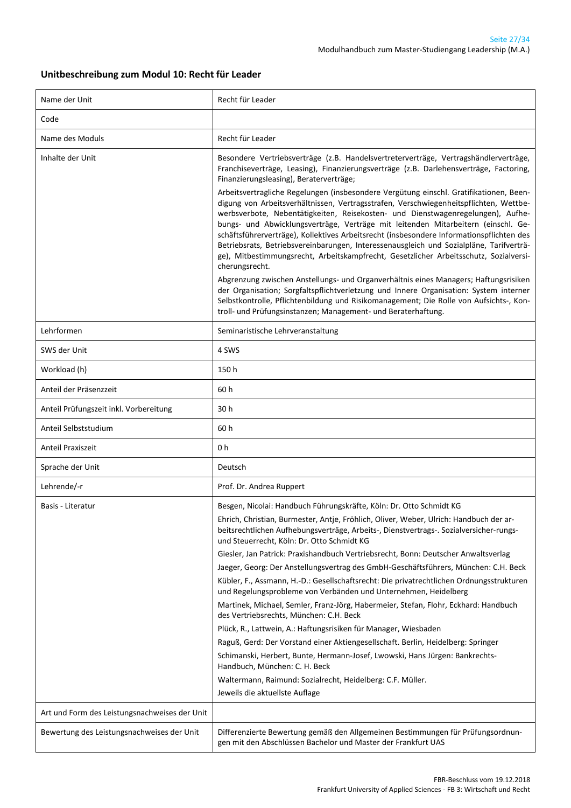#### **Unitbeschreibung zum Modul 10: Recht für Leader**

| Name der Unit                                 | Recht für Leader                                                                                                                                                                                                                                                                                                                                                                                                                                                                                                                                                                                                                                                                                                                                                                                                                                                                                                                                                                                                                                                                                                                                                                                                                   |
|-----------------------------------------------|------------------------------------------------------------------------------------------------------------------------------------------------------------------------------------------------------------------------------------------------------------------------------------------------------------------------------------------------------------------------------------------------------------------------------------------------------------------------------------------------------------------------------------------------------------------------------------------------------------------------------------------------------------------------------------------------------------------------------------------------------------------------------------------------------------------------------------------------------------------------------------------------------------------------------------------------------------------------------------------------------------------------------------------------------------------------------------------------------------------------------------------------------------------------------------------------------------------------------------|
| Code                                          |                                                                                                                                                                                                                                                                                                                                                                                                                                                                                                                                                                                                                                                                                                                                                                                                                                                                                                                                                                                                                                                                                                                                                                                                                                    |
| Name des Moduls                               | Recht für Leader                                                                                                                                                                                                                                                                                                                                                                                                                                                                                                                                                                                                                                                                                                                                                                                                                                                                                                                                                                                                                                                                                                                                                                                                                   |
| Inhalte der Unit                              | Besondere Vertriebsverträge (z.B. Handelsvertreterverträge, Vertragshändlerverträge,<br>Franchiseverträge, Leasing), Finanzierungsverträge (z.B. Darlehensverträge, Factoring,<br>Finanzierungsleasing), Beraterverträge;<br>Arbeitsvertragliche Regelungen (insbesondere Vergütung einschl. Gratifikationen, Been-<br>digung von Arbeitsverhältnissen, Vertragsstrafen, Verschwiegenheitspflichten, Wettbe-<br>werbsverbote, Nebentätigkeiten, Reisekosten- und Dienstwagenregelungen), Aufhe-<br>bungs- und Abwicklungsverträge, Verträge mit leitenden Mitarbeitern (einschl. Ge-<br>schäftsführerverträge), Kollektives Arbeitsrecht (insbesondere Informationspflichten des<br>Betriebsrats, Betriebsvereinbarungen, Interessenausgleich und Sozialpläne, Tarifverträ-<br>ge), Mitbestimmungsrecht, Arbeitskampfrecht, Gesetzlicher Arbeitsschutz, Sozialversi-<br>cherungsrecht.<br>Abgrenzung zwischen Anstellungs- und Organverhältnis eines Managers; Haftungsrisiken<br>der Organisation; Sorgfaltspflichtverletzung und Innere Organisation: System interner<br>Selbstkontrolle, Pflichtenbildung und Risikomanagement; Die Rolle von Aufsichts-, Kon-<br>troll- und Prüfungsinstanzen; Management- und Beraterhaftung. |
| Lehrformen                                    | Seminaristische Lehrveranstaltung                                                                                                                                                                                                                                                                                                                                                                                                                                                                                                                                                                                                                                                                                                                                                                                                                                                                                                                                                                                                                                                                                                                                                                                                  |
| SWS der Unit                                  | 4 SWS                                                                                                                                                                                                                                                                                                                                                                                                                                                                                                                                                                                                                                                                                                                                                                                                                                                                                                                                                                                                                                                                                                                                                                                                                              |
| Workload (h)                                  | 150 h                                                                                                                                                                                                                                                                                                                                                                                                                                                                                                                                                                                                                                                                                                                                                                                                                                                                                                                                                                                                                                                                                                                                                                                                                              |
| Anteil der Präsenzzeit                        | 60 h                                                                                                                                                                                                                                                                                                                                                                                                                                                                                                                                                                                                                                                                                                                                                                                                                                                                                                                                                                                                                                                                                                                                                                                                                               |
| Anteil Prüfungszeit inkl. Vorbereitung        | 30 h                                                                                                                                                                                                                                                                                                                                                                                                                                                                                                                                                                                                                                                                                                                                                                                                                                                                                                                                                                                                                                                                                                                                                                                                                               |
| Anteil Selbststudium                          | 60 h                                                                                                                                                                                                                                                                                                                                                                                                                                                                                                                                                                                                                                                                                                                                                                                                                                                                                                                                                                                                                                                                                                                                                                                                                               |
| Anteil Praxiszeit                             | 0 h                                                                                                                                                                                                                                                                                                                                                                                                                                                                                                                                                                                                                                                                                                                                                                                                                                                                                                                                                                                                                                                                                                                                                                                                                                |
| Sprache der Unit                              | Deutsch                                                                                                                                                                                                                                                                                                                                                                                                                                                                                                                                                                                                                                                                                                                                                                                                                                                                                                                                                                                                                                                                                                                                                                                                                            |
| Lehrende/-r                                   | Prof. Dr. Andrea Ruppert                                                                                                                                                                                                                                                                                                                                                                                                                                                                                                                                                                                                                                                                                                                                                                                                                                                                                                                                                                                                                                                                                                                                                                                                           |
| Basis - Literatur                             | Besgen, Nicolai: Handbuch Führungskräfte, Köln: Dr. Otto Schmidt KG<br>Ehrich, Christian, Burmester, Antje, Fröhlich, Oliver, Weber, Ulrich: Handbuch der ar-<br>beitsrechtlichen Aufhebungsverträge, Arbeits-, Dienstvertrags-. Sozialversicher-rungs-<br>und Steuerrecht, Köln: Dr. Otto Schmidt KG<br>Giesler, Jan Patrick: Praxishandbuch Vertriebsrecht, Bonn: Deutscher Anwaltsverlag<br>Jaeger, Georg: Der Anstellungsvertrag des GmbH-Geschäftsführers, München: C.H. Beck<br>Kübler, F., Assmann, H.-D.: Gesellschaftsrecht: Die privatrechtlichen Ordnungsstrukturen<br>und Regelungsprobleme von Verbänden und Unternehmen, Heidelberg<br>Martinek, Michael, Semler, Franz-Jörg, Habermeier, Stefan, Flohr, Eckhard: Handbuch<br>des Vertriebsrechts, München: C.H. Beck<br>Plück, R., Lattwein, A.: Haftungsrisiken für Manager, Wiesbaden<br>Raguß, Gerd: Der Vorstand einer Aktiengesellschaft. Berlin, Heidelberg: Springer<br>Schimanski, Herbert, Bunte, Hermann-Josef, Lwowski, Hans Jürgen: Bankrechts-<br>Handbuch, München: C. H. Beck<br>Waltermann, Raimund: Sozialrecht, Heidelberg: C.F. Müller.<br>Jeweils die aktuellste Auflage                                                                        |
| Art und Form des Leistungsnachweises der Unit |                                                                                                                                                                                                                                                                                                                                                                                                                                                                                                                                                                                                                                                                                                                                                                                                                                                                                                                                                                                                                                                                                                                                                                                                                                    |
| Bewertung des Leistungsnachweises der Unit    | Differenzierte Bewertung gemäß den Allgemeinen Bestimmungen für Prüfungsordnun-<br>gen mit den Abschlüssen Bachelor und Master der Frankfurt UAS                                                                                                                                                                                                                                                                                                                                                                                                                                                                                                                                                                                                                                                                                                                                                                                                                                                                                                                                                                                                                                                                                   |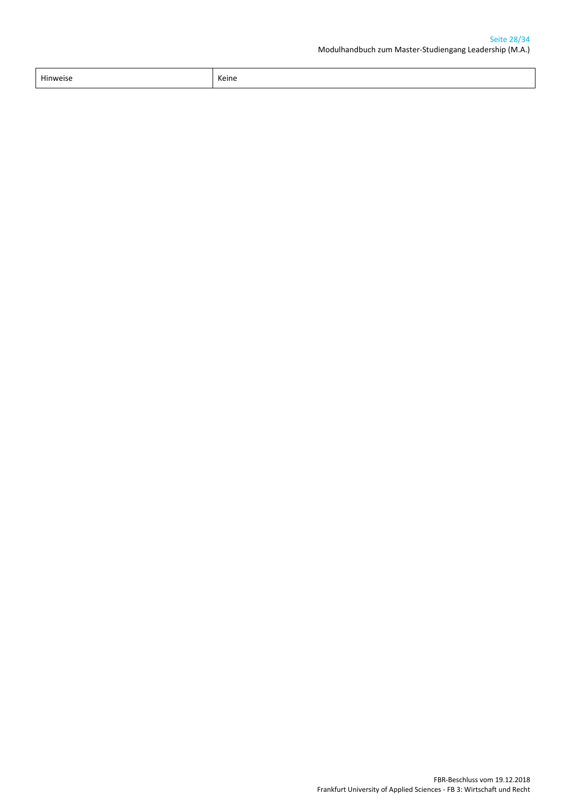| Hinweise | Keine |
|----------|-------|
| .        | ____  |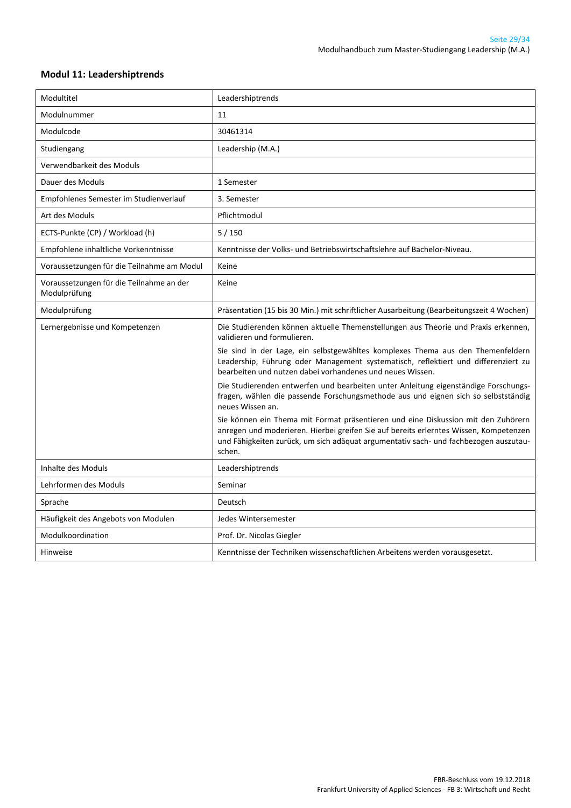#### <span id="page-28-0"></span>**Modul 11: Leadershiptrends**

| Modultitel                                               | Leadershiptrends                                                                                                                                                                                                                                                             |
|----------------------------------------------------------|------------------------------------------------------------------------------------------------------------------------------------------------------------------------------------------------------------------------------------------------------------------------------|
| Modulnummer                                              | 11                                                                                                                                                                                                                                                                           |
| Modulcode                                                | 30461314                                                                                                                                                                                                                                                                     |
| Studiengang                                              | Leadership (M.A.)                                                                                                                                                                                                                                                            |
| Verwendbarkeit des Moduls                                |                                                                                                                                                                                                                                                                              |
| Dauer des Moduls                                         | 1 Semester                                                                                                                                                                                                                                                                   |
| Empfohlenes Semester im Studienverlauf                   | 3. Semester                                                                                                                                                                                                                                                                  |
| Art des Moduls                                           | Pflichtmodul                                                                                                                                                                                                                                                                 |
| ECTS-Punkte (CP) / Workload (h)                          | 5/150                                                                                                                                                                                                                                                                        |
| Empfohlene inhaltliche Vorkenntnisse                     | Kenntnisse der Volks- und Betriebswirtschaftslehre auf Bachelor-Niveau.                                                                                                                                                                                                      |
| Voraussetzungen für die Teilnahme am Modul               | Keine                                                                                                                                                                                                                                                                        |
| Voraussetzungen für die Teilnahme an der<br>Modulprüfung | Keine                                                                                                                                                                                                                                                                        |
| Modulprüfung                                             | Präsentation (15 bis 30 Min.) mit schriftlicher Ausarbeitung (Bearbeitungszeit 4 Wochen)                                                                                                                                                                                     |
| Lernergebnisse und Kompetenzen                           | Die Studierenden können aktuelle Themenstellungen aus Theorie und Praxis erkennen,<br>validieren und formulieren.                                                                                                                                                            |
|                                                          | Sie sind in der Lage, ein selbstgewähltes komplexes Thema aus den Themenfeldern<br>Leadership, Führung oder Management systematisch, reflektiert und differenziert zu<br>bearbeiten und nutzen dabei vorhandenes und neues Wissen.                                           |
|                                                          | Die Studierenden entwerfen und bearbeiten unter Anleitung eigenständige Forschungs-<br>fragen, wählen die passende Forschungsmethode aus und eignen sich so selbstständig<br>neues Wissen an.                                                                                |
|                                                          | Sie können ein Thema mit Format präsentieren und eine Diskussion mit den Zuhörern<br>anregen und moderieren. Hierbei greifen Sie auf bereits erlerntes Wissen, Kompetenzen<br>und Fähigkeiten zurück, um sich adäquat argumentativ sach- und fachbezogen auszutau-<br>schen. |
| Inhalte des Moduls                                       | Leadershiptrends                                                                                                                                                                                                                                                             |
| Lehrformen des Moduls                                    | Seminar                                                                                                                                                                                                                                                                      |
| Sprache                                                  | Deutsch                                                                                                                                                                                                                                                                      |
| Häufigkeit des Angebots von Modulen                      | Jedes Wintersemester                                                                                                                                                                                                                                                         |
| Modulkoordination                                        | Prof. Dr. Nicolas Giegler                                                                                                                                                                                                                                                    |
| <b>Hinweise</b>                                          | Kenntnisse der Techniken wissenschaftlichen Arbeitens werden vorausgesetzt.                                                                                                                                                                                                  |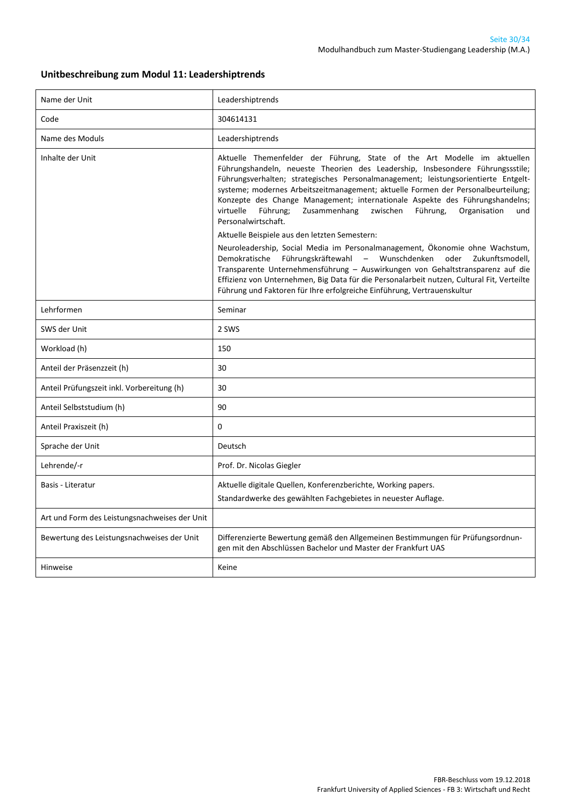#### **Unitbeschreibung zum Modul 11: Leadershiptrends**

| Name der Unit                                 | Leadershiptrends                                                                                                                                                                                                                                                                                                                                                                                                                                                                                                                     |
|-----------------------------------------------|--------------------------------------------------------------------------------------------------------------------------------------------------------------------------------------------------------------------------------------------------------------------------------------------------------------------------------------------------------------------------------------------------------------------------------------------------------------------------------------------------------------------------------------|
| Code                                          | 304614131                                                                                                                                                                                                                                                                                                                                                                                                                                                                                                                            |
| Name des Moduls                               | Leadershiptrends                                                                                                                                                                                                                                                                                                                                                                                                                                                                                                                     |
| Inhalte der Unit                              | Aktuelle Themenfelder der Führung, State of the Art Modelle im aktuellen<br>Führungshandeln, neueste Theorien des Leadership, Insbesondere Führungssstile;<br>Führungsverhalten; strategisches Personalmanagement; leistungsorientierte Entgelt-<br>systeme; modernes Arbeitszeitmanagement; aktuelle Formen der Personalbeurteilung;<br>Konzepte des Change Management; internationale Aspekte des Führungshandelns;<br>Führung;<br>virtuelle<br>Zusammenhang<br>zwischen<br>Führung,<br>Organisation<br>und<br>Personalwirtschaft. |
|                                               | Aktuelle Beispiele aus den letzten Semestern:<br>Neuroleadership, Social Media im Personalmanagement, Ökonomie ohne Wachstum,<br>Demokratische Führungskräftewahl - Wunschdenken<br>oder Zukunftsmodell,<br>Transparente Unternehmensführung - Auswirkungen von Gehaltstransparenz auf die<br>Effizienz von Unternehmen, Big Data für die Personalarbeit nutzen, Cultural Fit, Verteilte<br>Führung und Faktoren für Ihre erfolgreiche Einführung, Vertrauenskultur                                                                  |
| Lehrformen                                    | Seminar                                                                                                                                                                                                                                                                                                                                                                                                                                                                                                                              |
| SWS der Unit                                  | 2 SWS                                                                                                                                                                                                                                                                                                                                                                                                                                                                                                                                |
| Workload (h)                                  | 150                                                                                                                                                                                                                                                                                                                                                                                                                                                                                                                                  |
| Anteil der Präsenzzeit (h)                    | 30                                                                                                                                                                                                                                                                                                                                                                                                                                                                                                                                   |
| Anteil Prüfungszeit inkl. Vorbereitung (h)    | 30                                                                                                                                                                                                                                                                                                                                                                                                                                                                                                                                   |
| Anteil Selbststudium (h)                      | 90                                                                                                                                                                                                                                                                                                                                                                                                                                                                                                                                   |
| Anteil Praxiszeit (h)                         | $\mathbf 0$                                                                                                                                                                                                                                                                                                                                                                                                                                                                                                                          |
| Sprache der Unit                              | Deutsch                                                                                                                                                                                                                                                                                                                                                                                                                                                                                                                              |
| Lehrende/-r                                   | Prof. Dr. Nicolas Giegler                                                                                                                                                                                                                                                                                                                                                                                                                                                                                                            |
| Basis - Literatur                             | Aktuelle digitale Quellen, Konferenzberichte, Working papers.<br>Standardwerke des gewählten Fachgebietes in neuester Auflage.                                                                                                                                                                                                                                                                                                                                                                                                       |
| Art und Form des Leistungsnachweises der Unit |                                                                                                                                                                                                                                                                                                                                                                                                                                                                                                                                      |
| Bewertung des Leistungsnachweises der Unit    | Differenzierte Bewertung gemäß den Allgemeinen Bestimmungen für Prüfungsordnun-<br>gen mit den Abschlüssen Bachelor und Master der Frankfurt UAS                                                                                                                                                                                                                                                                                                                                                                                     |
| <b>Hinweise</b>                               | Keine                                                                                                                                                                                                                                                                                                                                                                                                                                                                                                                                |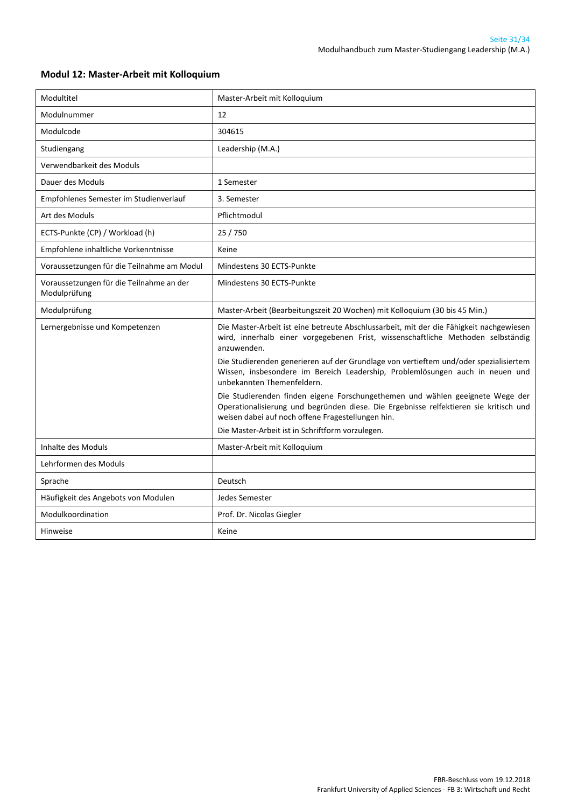| Modultitel                                               | Master-Arbeit mit Kolloquium                                                                                                                                                                                                |
|----------------------------------------------------------|-----------------------------------------------------------------------------------------------------------------------------------------------------------------------------------------------------------------------------|
| Modulnummer                                              | 12                                                                                                                                                                                                                          |
| Modulcode                                                | 304615                                                                                                                                                                                                                      |
| Studiengang                                              | Leadership (M.A.)                                                                                                                                                                                                           |
| Verwendbarkeit des Moduls                                |                                                                                                                                                                                                                             |
| Dauer des Moduls                                         | 1 Semester                                                                                                                                                                                                                  |
| Empfohlenes Semester im Studienverlauf                   | 3. Semester                                                                                                                                                                                                                 |
| Art des Moduls                                           | Pflichtmodul                                                                                                                                                                                                                |
| ECTS-Punkte (CP) / Workload (h)                          | 25 / 750                                                                                                                                                                                                                    |
| Empfohlene inhaltliche Vorkenntnisse                     | Keine                                                                                                                                                                                                                       |
| Voraussetzungen für die Teilnahme am Modul               | Mindestens 30 ECTS-Punkte                                                                                                                                                                                                   |
| Voraussetzungen für die Teilnahme an der<br>Modulprüfung | Mindestens 30 ECTS-Punkte                                                                                                                                                                                                   |
| Modulprüfung                                             | Master-Arbeit (Bearbeitungszeit 20 Wochen) mit Kolloquium (30 bis 45 Min.)                                                                                                                                                  |
| Lernergebnisse und Kompetenzen                           | Die Master-Arbeit ist eine betreute Abschlussarbeit, mit der die Fähigkeit nachgewiesen<br>wird, innerhalb einer vorgegebenen Frist, wissenschaftliche Methoden selbständig<br>anzuwenden.                                  |
|                                                          | Die Studierenden generieren auf der Grundlage von vertieftem und/oder spezialisiertem<br>Wissen, insbesondere im Bereich Leadership, Problemlösungen auch in neuen und<br>unbekannten Themenfeldern.                        |
|                                                          | Die Studierenden finden eigene Forschungethemen und wählen geeignete Wege der<br>Operationalisierung und begründen diese. Die Ergebnisse relfektieren sie kritisch und<br>weisen dabei auf noch offene Fragestellungen hin. |
|                                                          | Die Master-Arbeit ist in Schriftform vorzulegen.                                                                                                                                                                            |
| Inhalte des Moduls                                       | Master-Arbeit mit Kolloquium                                                                                                                                                                                                |
| Lehrformen des Moduls                                    |                                                                                                                                                                                                                             |
| Sprache                                                  | Deutsch                                                                                                                                                                                                                     |
| Häufigkeit des Angebots von Modulen                      | Jedes Semester                                                                                                                                                                                                              |
| Modulkoordination                                        | Prof. Dr. Nicolas Giegler                                                                                                                                                                                                   |
| <b>Hinweise</b>                                          | Keine                                                                                                                                                                                                                       |

#### <span id="page-30-0"></span>**Modul 12: Master-Arbeit mit Kolloquium**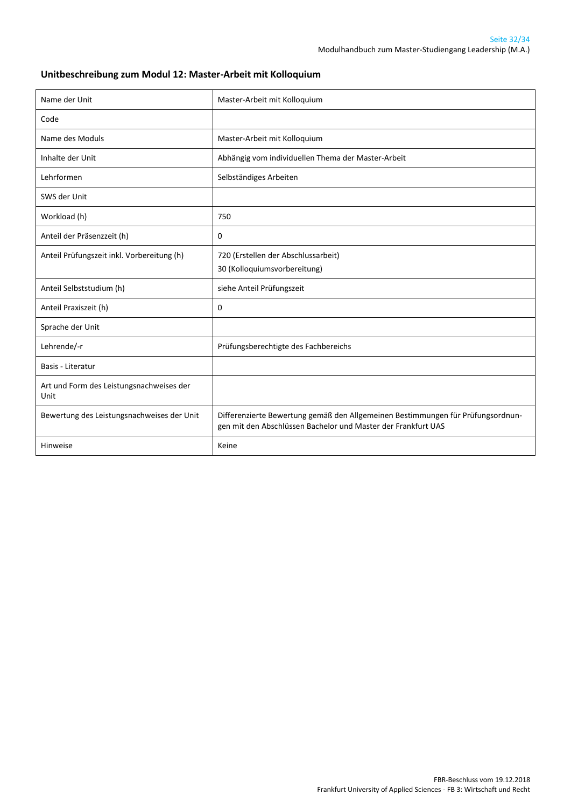#### **Unitbeschreibung zum Modul 12: Master-Arbeit mit Kolloquium**

| Name der Unit                                    | Master-Arbeit mit Kolloquium                                                                                                                     |
|--------------------------------------------------|--------------------------------------------------------------------------------------------------------------------------------------------------|
| Code                                             |                                                                                                                                                  |
| Name des Moduls                                  | Master-Arbeit mit Kolloquium                                                                                                                     |
| Inhalte der Unit                                 | Abhängig vom individuellen Thema der Master-Arbeit                                                                                               |
| Lehrformen                                       | Selbständiges Arbeiten                                                                                                                           |
| SWS der Unit                                     |                                                                                                                                                  |
| Workload (h)                                     | 750                                                                                                                                              |
| Anteil der Präsenzzeit (h)                       | 0                                                                                                                                                |
| Anteil Prüfungszeit inkl. Vorbereitung (h)       | 720 (Erstellen der Abschlussarbeit)<br>30 (Kolloquiumsvorbereitung)                                                                              |
| Anteil Selbststudium (h)                         | siehe Anteil Prüfungszeit                                                                                                                        |
| Anteil Praxiszeit (h)                            | 0                                                                                                                                                |
| Sprache der Unit                                 |                                                                                                                                                  |
| Lehrende/-r                                      | Prüfungsberechtigte des Fachbereichs                                                                                                             |
| Basis - Literatur                                |                                                                                                                                                  |
| Art und Form des Leistungsnachweises der<br>Unit |                                                                                                                                                  |
| Bewertung des Leistungsnachweises der Unit       | Differenzierte Bewertung gemäß den Allgemeinen Bestimmungen für Prüfungsordnun-<br>gen mit den Abschlüssen Bachelor und Master der Frankfurt UAS |
| Hinweise                                         | Keine                                                                                                                                            |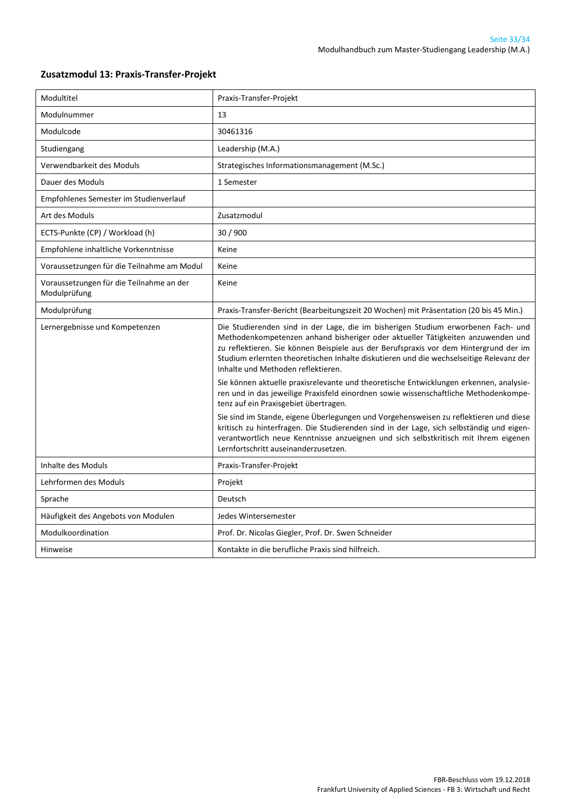| Modultitel                                               | Praxis-Transfer-Projekt                                                                                                                                                                                                                                                                                                                                                                        |
|----------------------------------------------------------|------------------------------------------------------------------------------------------------------------------------------------------------------------------------------------------------------------------------------------------------------------------------------------------------------------------------------------------------------------------------------------------------|
| Modulnummer                                              | 13                                                                                                                                                                                                                                                                                                                                                                                             |
| Modulcode                                                | 30461316                                                                                                                                                                                                                                                                                                                                                                                       |
| Studiengang                                              | Leadership (M.A.)                                                                                                                                                                                                                                                                                                                                                                              |
| Verwendbarkeit des Moduls                                | Strategisches Informationsmanagement (M.Sc.)                                                                                                                                                                                                                                                                                                                                                   |
| Dauer des Moduls                                         | 1 Semester                                                                                                                                                                                                                                                                                                                                                                                     |
| Empfohlenes Semester im Studienverlauf                   |                                                                                                                                                                                                                                                                                                                                                                                                |
| Art des Moduls                                           | Zusatzmodul                                                                                                                                                                                                                                                                                                                                                                                    |
| ECTS-Punkte (CP) / Workload (h)                          | 30 / 900                                                                                                                                                                                                                                                                                                                                                                                       |
| Empfohlene inhaltliche Vorkenntnisse                     | Keine                                                                                                                                                                                                                                                                                                                                                                                          |
| Voraussetzungen für die Teilnahme am Modul               | Keine                                                                                                                                                                                                                                                                                                                                                                                          |
| Voraussetzungen für die Teilnahme an der<br>Modulprüfung | Keine                                                                                                                                                                                                                                                                                                                                                                                          |
| Modulprüfung                                             | Praxis-Transfer-Bericht (Bearbeitungszeit 20 Wochen) mit Präsentation (20 bis 45 Min.)                                                                                                                                                                                                                                                                                                         |
| Lernergebnisse und Kompetenzen                           | Die Studierenden sind in der Lage, die im bisherigen Studium erworbenen Fach- und<br>Methodenkompetenzen anhand bisheriger oder aktueller Tätigkeiten anzuwenden und<br>zu reflektieren. Sie können Beispiele aus der Berufspraxis vor dem Hintergrund der im<br>Studium erlernten theoretischen Inhalte diskutieren und die wechselseitige Relevanz der<br>Inhalte und Methoden reflektieren. |
|                                                          | Sie können aktuelle praxisrelevante und theoretische Entwicklungen erkennen, analysie-<br>ren und in das jeweilige Praxisfeld einordnen sowie wissenschaftliche Methodenkompe-<br>tenz auf ein Praxisgebiet übertragen.                                                                                                                                                                        |
|                                                          | Sie sind im Stande, eigene Überlegungen und Vorgehensweisen zu reflektieren und diese<br>kritisch zu hinterfragen. Die Studierenden sind in der Lage, sich selbständig und eigen-<br>verantwortlich neue Kenntnisse anzueignen und sich selbstkritisch mit Ihrem eigenen<br>Lernfortschritt auseinanderzusetzen.                                                                               |
| Inhalte des Moduls                                       | Praxis-Transfer-Projekt                                                                                                                                                                                                                                                                                                                                                                        |
| Lehrformen des Moduls                                    | Projekt                                                                                                                                                                                                                                                                                                                                                                                        |
| Sprache                                                  | Deutsch                                                                                                                                                                                                                                                                                                                                                                                        |
| Häufigkeit des Angebots von Modulen                      | Jedes Wintersemester                                                                                                                                                                                                                                                                                                                                                                           |
| Modulkoordination                                        | Prof. Dr. Nicolas Giegler, Prof. Dr. Swen Schneider                                                                                                                                                                                                                                                                                                                                            |
| Hinweise                                                 | Kontakte in die berufliche Praxis sind hilfreich.                                                                                                                                                                                                                                                                                                                                              |

#### <span id="page-32-0"></span>**Zusatzmodul 13: Praxis-Transfer-Projekt**